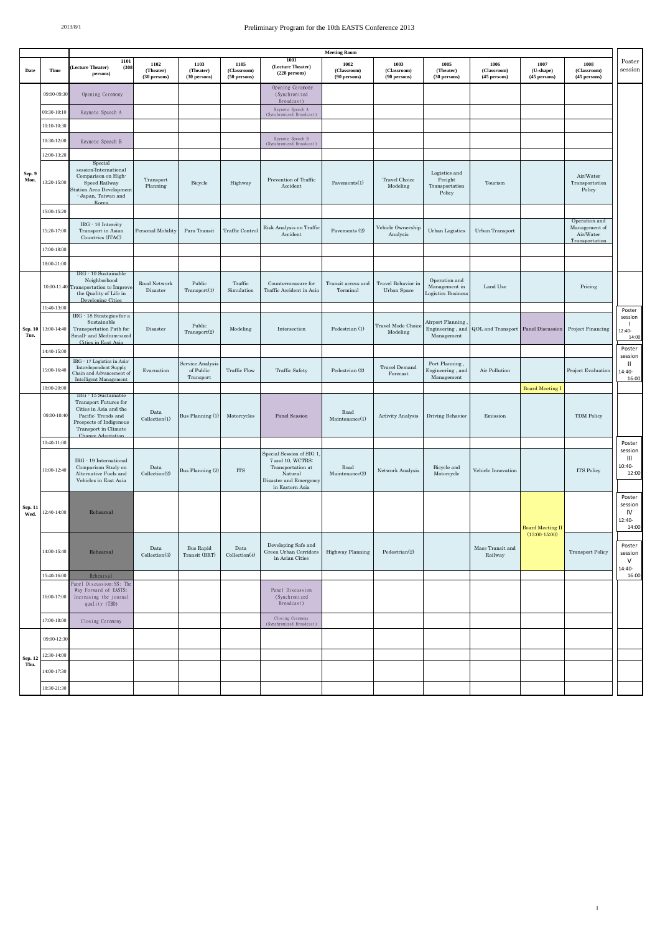## 2013/8/1 Preliminary Program for the 10th EASTS Conference 2013

|                 |                     |                                                                                                                                              |                                   |                                            |                                           |                                                                                                                           | <b>Meeting Room</b>                 |                                     |                                                      |                                     |                                     |                                                               |                                            |
|-----------------|---------------------|----------------------------------------------------------------------------------------------------------------------------------------------|-----------------------------------|--------------------------------------------|-------------------------------------------|---------------------------------------------------------------------------------------------------------------------------|-------------------------------------|-------------------------------------|------------------------------------------------------|-------------------------------------|-------------------------------------|---------------------------------------------------------------|--------------------------------------------|
| Date            | Time                | 1101<br><b>Lecture Theater)</b><br>(308)<br>persons)                                                                                         | 1102<br>(Theater)<br>(30 persons) | 1103<br>(Theater)<br>(30 persons)          | 1105<br>(Classroom)<br>(50 persons)       | 1001<br>(Lecture Theater)<br>(228 persons)                                                                                | 1002<br>(Classroom)<br>(90 persons) | 1003<br>(Classroom)<br>(90 persons) | 1005<br>(Theater)<br>(30 persons)                    | 1006<br>(Classroom)<br>(45 persons) | 1007<br>(U-shape)<br>(45 persons)   | 1008<br>(Classroom)<br>(45 persons)                           | Poster<br>session                          |
|                 | 09:00-09:30         | Opening Ceremony                                                                                                                             |                                   |                                            |                                           | Opening Ceremony<br>(Synchronized<br>Broadcast)                                                                           |                                     |                                     |                                                      |                                     |                                     |                                                               |                                            |
| Sep. 9<br>Mon.  | 09:30-10:10         | Keynote Speech A                                                                                                                             |                                   |                                            |                                           | Keynote Speech A<br>(Synchronized Broadcast)                                                                              |                                     |                                     |                                                      |                                     |                                     |                                                               |                                            |
|                 | 10:10-10:30         |                                                                                                                                              |                                   |                                            |                                           |                                                                                                                           |                                     |                                     |                                                      |                                     |                                     |                                                               |                                            |
|                 | 10:30-12:00         | Keynote Speech B                                                                                                                             |                                   |                                            |                                           | Keynote Speech B<br>(Synchronized Broadcast)                                                                              |                                     |                                     |                                                      |                                     |                                     |                                                               |                                            |
|                 | 12:00-13:20         |                                                                                                                                              |                                   |                                            |                                           |                                                                                                                           |                                     |                                     |                                                      |                                     |                                     |                                                               |                                            |
|                 | 13:20-15:00         | Special<br>session:International<br>Comparison on High-<br>Speed Railway<br>Station Area Development<br>- Japan, Taiwan and                  | Transport<br>Planning             | Bicycle                                    | Highway                                   | Prevention of Traffic<br>Accident                                                                                         | Pavements(1)                        | Travel Choice<br>Modeling           | Logistics and<br>Freight<br>Transportation<br>Policy | Tourism                             |                                     | Air/Water<br>Transportation<br>Policy                         |                                            |
|                 | 15:00-15:20         |                                                                                                                                              |                                   |                                            |                                           |                                                                                                                           |                                     |                                     |                                                      |                                     |                                     |                                                               |                                            |
|                 | 15:20-17:00         | IRG - 16 Intercity<br>Transport in Asian<br>Countries (ITAC)                                                                                 | Personal Mobility                 | Para Transit                               | Traffic Control                           | Risk Analysis on Traffic<br>Accident                                                                                      | Pavements (2)                       | Vehicle Ownership<br>Analysis       | <b>Urban Logistics</b>                               | Urban Transport                     |                                     | Operation and<br>Management of<br>Air/Water<br>Transportation |                                            |
|                 | 17:00-18:00         |                                                                                                                                              |                                   |                                            |                                           |                                                                                                                           |                                     |                                     |                                                      |                                     |                                     |                                                               |                                            |
|                 | 18:00-21:00         |                                                                                                                                              |                                   |                                            |                                           |                                                                                                                           |                                     |                                     |                                                      |                                     |                                     |                                                               |                                            |
|                 | 10:00-11:40         | IRG · 10 Sustainable<br>Neighborhood<br><b>Transportation</b> to Improve<br>the Quality of Life in<br>Developing Citie                       | Road Network<br>Disaster          | Public<br>Transport(1)                     | Traffic<br>Simulation                     | Countermeasure for<br>Traffic Accident in Asia                                                                            | Transit access and<br>Terminal      | Travel Behavior in<br>Urban Space   | Operation and<br>Management in<br>Logistics Business | Land Use                            |                                     | Pricing                                                       |                                            |
|                 | 11:40-13:00         |                                                                                                                                              |                                   |                                            |                                           |                                                                                                                           |                                     |                                     |                                                      |                                     |                                     |                                                               | Poster                                     |
| Tue.            | Sep. 10 13:00-14:40 | IRG - 18 Strategies for a<br>Sustainable<br>Transportation Path for<br>Small- and Medium-sized<br>Cities in East Asia                        | Disaster                          | Public<br>Transport(2)                     | Modeling                                  | Intersection                                                                                                              | Pedestrian (1)                      | Travel Mode Choice<br>Modeling      | Airport Planning<br>Engineering, and<br>Management   | QOL and Transport Panel Discussion  |                                     | Project Financing                                             | session<br>J.<br>12:40-<br>14:00           |
|                 | 14:40-15:00         |                                                                                                                                              |                                   |                                            |                                           |                                                                                                                           |                                     |                                     |                                                      |                                     |                                     |                                                               | Poster                                     |
|                 | 15:00-16:4          | IRG · 17 Logistics in Asia<br>Interdependent Supply<br>Chain and Advancement of<br>Intelligent Management                                    | Evacuation                        | Service Analysis<br>of Public<br>Transport | <b>Traffic Flow</b>                       | <b>Traffic Safety</b>                                                                                                     | Pedestrian (2)                      | <b>Travel Demand</b><br>Forecast    | Port Planning<br>Engineering, and<br>Management      | Air Pollution                       |                                     | Project Evaluation                                            | session<br>Ш<br>14:40-<br>16:00            |
|                 | 18:00-20:00         | IRG - 15 Sustainable                                                                                                                         |                                   |                                            |                                           |                                                                                                                           |                                     |                                     |                                                      |                                     | <b>Board Meeting I</b>              |                                                               |                                            |
|                 | 09:00-10:40         | Transport Futures for<br>Cities in Asia and the<br>Pacific: Trends and<br>Prospects of Indigenous<br>Transport in Climate<br>Change Adaptati | Data<br>Collection(1)             | Bus Planning (1)                           | $\label{thm:adversus} \text{Motorcycles}$ | Panel Session                                                                                                             | Road<br>Maintenance(1)              | <b>Activity Analysis</b>            | Driving Behavior                                     | Emission                            |                                     | <b>TDM Policy</b>                                             |                                            |
|                 | 10:40-11:00         |                                                                                                                                              |                                   |                                            |                                           |                                                                                                                           |                                     |                                     |                                                      |                                     |                                     |                                                               | Poster<br>session                          |
| Sep. 11<br>Wed. | 11:00-12:40         | IRG · 19 International<br>Comparison Study on<br>Alternative Fuels and<br>Vehicles in East Asia                                              | Data<br>Collection(2)             | Bus Planning (2)                           | <b>ITS</b>                                | Special Session of SIG 1<br>7 and 10, WCTRS:<br>Transportation at<br>Natural<br>Disaster and Emergency<br>in Eastern Asia | Road<br>Maintenance(2)              | Network Analysis                    | Bicycle and<br>Motorcycle                            | Vehicle Innovation                  |                                     | ITS Policy                                                    | Ш<br>10:40-<br>12:00                       |
|                 | 12:40-14:00         | Rehearsal                                                                                                                                    |                                   |                                            |                                           |                                                                                                                           |                                     |                                     |                                                      |                                     | Board Meeting Il<br>$(13:00-15:00)$ |                                                               | Poster<br>session<br>IV<br>12:40-<br>14:00 |
|                 | 14:00-15:40         | Rehearsal                                                                                                                                    | Data<br>Collection(3)             | <b>Bus Rapid</b><br>Transit (BRT)          | Data<br>Collection(4)                     | Developing Safe and<br>Green Urban Corridors<br>in Asian Cities                                                           | <b>Highway Planning</b>             | Pedestrian(2)                       |                                                      | Mass Transit and<br>Railway         |                                     | <b>Transport Policy</b>                                       | Poster<br>session<br>V<br>14:40-           |
|                 | 15:40-16:00         | Rehearsal<br>Panel Discussion: SS: The                                                                                                       |                                   |                                            |                                           |                                                                                                                           |                                     |                                     |                                                      |                                     |                                     |                                                               | 16:00                                      |
|                 | 16:00-17:00         | Way Forward of EASTS:<br>Increasing the journal<br>quality (TBD)                                                                             |                                   |                                            |                                           | Panel Discussion<br>(Synchronized<br>Broadcast)                                                                           |                                     |                                     |                                                      |                                     |                                     |                                                               |                                            |
|                 | 17:00-18:00         | Closing Ceremony                                                                                                                             |                                   |                                            |                                           | Closing Ceremony<br>(Synchronized Broadcast)                                                                              |                                     |                                     |                                                      |                                     |                                     |                                                               |                                            |
|                 | 09:00-12:30         |                                                                                                                                              |                                   |                                            |                                           |                                                                                                                           |                                     |                                     |                                                      |                                     |                                     |                                                               |                                            |
| Sep. 12         | 12:30-14:00         |                                                                                                                                              |                                   |                                            |                                           |                                                                                                                           |                                     |                                     |                                                      |                                     |                                     |                                                               |                                            |
| Thu.            | 14:00-17:30         |                                                                                                                                              |                                   |                                            |                                           |                                                                                                                           |                                     |                                     |                                                      |                                     |                                     |                                                               |                                            |
|                 | 18:30-21:30         |                                                                                                                                              |                                   |                                            |                                           |                                                                                                                           |                                     |                                     |                                                      |                                     |                                     |                                                               |                                            |

1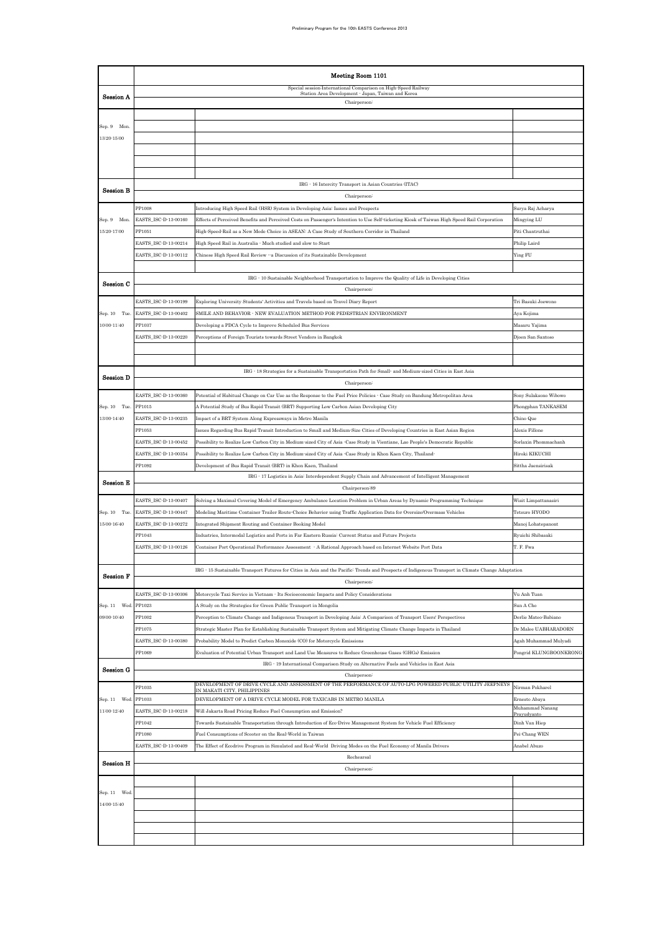|                            | Meeting Room 1101              |                                                                                                                                                                                                     |                                                |  |  |  |  |
|----------------------------|--------------------------------|-----------------------------------------------------------------------------------------------------------------------------------------------------------------------------------------------------|------------------------------------------------|--|--|--|--|
|                            |                                | Special session: International Comparison on High-Speed Railway<br>Station Area Development - Japan, Taiwan and Korea                                                                               |                                                |  |  |  |  |
| <b>Session A</b>           |                                | Chairperson:                                                                                                                                                                                        |                                                |  |  |  |  |
|                            |                                |                                                                                                                                                                                                     |                                                |  |  |  |  |
| Sep. 9 Mon.<br>13:20-15:00 |                                |                                                                                                                                                                                                     |                                                |  |  |  |  |
|                            |                                |                                                                                                                                                                                                     |                                                |  |  |  |  |
|                            |                                |                                                                                                                                                                                                     |                                                |  |  |  |  |
|                            |                                |                                                                                                                                                                                                     |                                                |  |  |  |  |
| <b>Session B</b>           |                                | IRG · 16 Intercity Transport in Asian Countries (ITAC)                                                                                                                                              |                                                |  |  |  |  |
|                            | PP1008                         | Chairperson-<br>Introducing High Speed Rail (HSR) System in Developing Asia: Issues and Prospects                                                                                                   | Surya Raj Acharya                              |  |  |  |  |
| Sep. 9 Mon.                | EASTS ISC-D-13-00160           | Effects of Perceived Benefits and Perceived Costs on Passenger's Intention to Use Self-ticketing Kiosk of Taiwan High Speed Rail Corporation                                                        | Mingying LU                                    |  |  |  |  |
| 15:20-17:00                | PP1051                         | High-Speed-Rail as a New Mode Choice in ASEAN: A Case Study of Southern Corridor in Thailand                                                                                                        | Piti Chantruthai                               |  |  |  |  |
|                            | EASTS_ISC-D-13-00214           | High Speed Rail in Australia · Much studied and slow to Start                                                                                                                                       | Philip Laird                                   |  |  |  |  |
|                            | EASTS_ISC-D-13-00112           | Chinese High Speed Rail Review "a Discussion of its Sustainable Development                                                                                                                         | Ying FU                                        |  |  |  |  |
|                            |                                | IRG - 10 Sustainable Neighborhood Transportation to Improve the Quality of Life in Developing Cities                                                                                                |                                                |  |  |  |  |
| Session C                  |                                | Chairperson:                                                                                                                                                                                        |                                                |  |  |  |  |
|                            | EASTS_ISC-D-13-00199           | Exploring University Students' Activities and Travels based on Travel Diary Report                                                                                                                  | Tri Basuki Joewono                             |  |  |  |  |
| Sep. 10 Tue.               | EASTS ISC-D-13-00402           | SMILE AND BEHAVIOR - NEW EVALUATION METHOD FOR PEDESTRIAN ENVIRONMENT                                                                                                                               | Aya Kojima                                     |  |  |  |  |
| $10:00 - 11:40$            | PP1037                         | Developing a PDCA Cycle to Improve Scheduled Bus Services                                                                                                                                           | Masaru Yajima                                  |  |  |  |  |
|                            | EASTS ISC-D-13-00220           | Perceptions of Foreign Tourists towards Street Vendors in Bangkok                                                                                                                                   | Djoen San Santoso                              |  |  |  |  |
|                            |                                |                                                                                                                                                                                                     |                                                |  |  |  |  |
|                            |                                | IRG - 18 Strategies for a Sustainable Transportation Path for Small- and Medium sized Cities in East Asia                                                                                           |                                                |  |  |  |  |
| <b>Session D</b>           |                                | Chairperson:                                                                                                                                                                                        |                                                |  |  |  |  |
|                            | EASTS_ISC-D-13-00360           | Potential of Habitual Change on Car Use as the Response to the Fuel Price Policies - Case Study on Bandung Metropolitan Area                                                                        | Sony Sulaksono Wibowo                          |  |  |  |  |
| Sep. 10 Tue.               | PP1015                         | A Potential Study of Bus Rapid Transit (BRT) Supporting Low Carbon Asian Developing City                                                                                                            | Phongphan TANKASEM                             |  |  |  |  |
| $13:00 - 14:40$            | EASTS_ISC-D-13-00235<br>PP1053 | Impact of a BRT System Along Expressways in Metro Manila<br>Issues Regarding Bus Rapid Transit Introduction to Small and Medium Size Cities of Developing Countries in East Asian Region            | Chino Que<br>Alexis Fillone                    |  |  |  |  |
|                            | EASTS_ISC-D-13-00452           | Possibility to Realize Low Carbon City in Medium sized City of Asia -Case Study in Vientiane, Lao People's Democratic Republic                                                                      | Sorlaxin Phommachanh                           |  |  |  |  |
|                            | EASTS_ISC-D-13-00354           | Possibility to Realize Low Carbon City in Medium sized City of Asia -Case Study in Khon Kaen City, Thailand-                                                                                        | Hiroki KIKUCHI                                 |  |  |  |  |
|                            | PP1092                         | Development of Bus Rapid Transit (BRT) in Khon Kaen, Thailand                                                                                                                                       | Sittha Jaensirisak                             |  |  |  |  |
| <b>Session E</b>           |                                | IRG · 17 Logistics in Asia: Interdependent Supply Chain and Advancement of Intelligent Management                                                                                                   |                                                |  |  |  |  |
|                            | EASTS_ISC-D-13-00407           | Chairperson-89<br>Solving a Maximal Covering Model of Emergency Ambulance Location Problem in Urban Areas by Dynamic Programming Technique                                                          | Wisit Limpattanasiri                           |  |  |  |  |
| Sep. 10 Tue.               | EASTS_ISC-D-13-00447           | Modeling Maritime Container Trailer Route Choice Behavior using Traffic Application Data for Oversize/Overmass Vehicles                                                                             | Tetsuro HYODO                                  |  |  |  |  |
| 15:00-16:40                | EASTS_ISC-D-13-00272           | Integrated Shipment Routing and Container Booking Model                                                                                                                                             | Manoj Lohatepanont                             |  |  |  |  |
|                            | PP1043                         | Industries, Intermodal Logistics and Ports in Far Eastern Russia: Current Status and Future Projects                                                                                                | Ryuichi Shibasaki                              |  |  |  |  |
|                            | EASTS_ISC-D-13-00126           | Container Port Operational Performance Assessment • A Rational Approach based on Internet Website Port Data                                                                                         | T. F. Fwa                                      |  |  |  |  |
|                            |                                | IRG - 15 Sustainable Transport Futures for Cities in Asia and the Pacific: Trends and Prospects of Indigenous Transport in Climate Change Adaptation                                                |                                                |  |  |  |  |
| <b>Session F</b>           |                                | Chairperson:                                                                                                                                                                                        |                                                |  |  |  |  |
|                            | EASTS_ISC-D-13-00306           | Motorcycle Taxi Service in Vietnam - Its Socioeconomic Impacts and Policy Considerations                                                                                                            | Vu Anh Tuan                                    |  |  |  |  |
| Sep. 11 Wed.               | PP1023                         | A Study on the Strategies for Green Public Transport in Mongolia                                                                                                                                    | Sun A Cho                                      |  |  |  |  |
| 09:00-10:40                | PP1002                         | Perception to Climate Change and Indigenous Transport in Developing Asia: A Comparison of Transport Users' Perspectives                                                                             | Derlie Mateo-Babiano                           |  |  |  |  |
|                            | PP1075<br>EASTS ISC-D-13-00380 | Strategic Master Plan for Establishing Sustainable Transport System and Mitigating Climate Change Impacts in Thailand<br>Probability Model to Predict Carbon Monoxide (CO) for Motorcycle Emissions | Dr Malee UABHARADORN                           |  |  |  |  |
|                            | PP1069                         | Evaluation of Potential Urban Transport and Land Use Measures to Reduce Greenhouse Gases (GHGs) Emission                                                                                            | Agah Muhammad Mulyadi<br>Pongrid KLUNGBOONKRON |  |  |  |  |
|                            |                                | IRG - 19 International Comparison Study on Alternative Fuels and Vehicles in East Asia                                                                                                              |                                                |  |  |  |  |
| Session G                  |                                | Chairperson <sup>:</sup>                                                                                                                                                                            |                                                |  |  |  |  |
|                            | PP1035                         | DEVELOPMENT OF DRIVE CYCLE AND ASSESSMENT OF THE PERFORMANCE OF AUTO LPG POWERED PUBLIC<br>UTILITY JEEPNEYS<br>IN MAKATI CITY PHILIPPINES                                                           | Nirman Pokharel                                |  |  |  |  |
| Sep. 11 Wed.               | PP1033                         | DEVELOPMENT OF A DRIVE CYCLE MODEL FOR TAXICABS IN METRO MANILA                                                                                                                                     | Ernesto Abaya<br>Muhammad Nanang               |  |  |  |  |
| 11:00-12:40                | EASTS_ISC-D-13-00218<br>PP1042 | Will Jakarta Road Pricing Reduce Fuel Consumption and Emission?                                                                                                                                     | Pravudvanto<br>Dinh Van Hiep                   |  |  |  |  |
|                            | PP1080                         | Towards Sustainable Transportation through Introduction of Eco-Drive Management System for Vehicle Fuel Efficiency<br>Fuel Consumptions of Scooter on the Real-World in Taiwan                      | Pei-Chang WEN                                  |  |  |  |  |
|                            | EASTS_ISC-D-13-00409           | The Effect of Ecodrive Program in Simulated and Real-World Driving Modes on the Fuel Economy of Manila Drivers                                                                                      | Anabel Abuzo                                   |  |  |  |  |
| <b>Session H</b>           |                                | Rechearsal                                                                                                                                                                                          |                                                |  |  |  |  |
|                            |                                | Chairperson-                                                                                                                                                                                        |                                                |  |  |  |  |
|                            |                                |                                                                                                                                                                                                     |                                                |  |  |  |  |
| Sep. 11 Wed<br>14:00-15:40 |                                |                                                                                                                                                                                                     |                                                |  |  |  |  |
|                            |                                |                                                                                                                                                                                                     |                                                |  |  |  |  |
|                            |                                |                                                                                                                                                                                                     |                                                |  |  |  |  |
|                            |                                |                                                                                                                                                                                                     |                                                |  |  |  |  |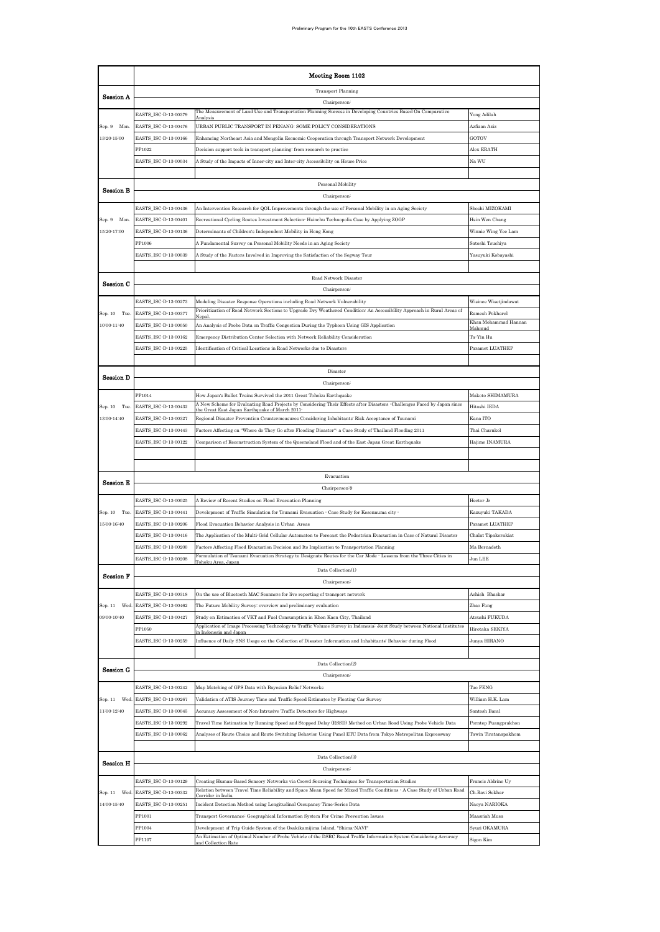|                  | Meeting Room 1102                            |                                                                                                                                                                                                          |                                |  |  |  |  |
|------------------|----------------------------------------------|----------------------------------------------------------------------------------------------------------------------------------------------------------------------------------------------------------|--------------------------------|--|--|--|--|
|                  |                                              | <b>Transport Planning</b>                                                                                                                                                                                |                                |  |  |  |  |
| Session A        |                                              | Chairperson <sup>:</sup>                                                                                                                                                                                 |                                |  |  |  |  |
|                  | EASTS_ISC-D-13-00379                         | The Measurement of Land Use and Transportation Planning Success in Developing Countries Based On Comparative                                                                                             | Yong Adilah                    |  |  |  |  |
| Sep. 9 Mon.      | EASTS_ISC-D-13-00476                         | URBAN PUBLIC TRANSPORT IN PENANG: SOME POLICY CONSIDERATIONS                                                                                                                                             | Azfizan Aziz                   |  |  |  |  |
| 13:20-15:00      | EASTS_ISC-D-13-00166                         | Enhancing Northeast Asia and Mongolia Economic Cooperation through Transport Network Development                                                                                                         | GOTOV                          |  |  |  |  |
|                  | PP1022                                       | Decision support tools in transport planning: from research to practice                                                                                                                                  | Alex ERATH                     |  |  |  |  |
|                  | EASTS_ISC-D-13-00034                         | A Study of the Impacts of Inner city and Inter city Accessibility on House Price                                                                                                                         | Na WU                          |  |  |  |  |
|                  |                                              |                                                                                                                                                                                                          |                                |  |  |  |  |
| <b>Session B</b> |                                              | Personal Mobility                                                                                                                                                                                        |                                |  |  |  |  |
|                  |                                              | Chairperson:                                                                                                                                                                                             | Shoshi MIZOKAMI                |  |  |  |  |
| Sep. 9 Mon.      | EASTS_ISC-D-13-00436<br>EASTS_ISC-D-13-00401 | An Intervention Research for QOL Improvements through the use of Personal Mobility in an Aging Society<br>Recreational Cycling Routes Investment Selection Hsinchu Technopolis Case by Applying ZOGP     | Hsin Wen Chang                 |  |  |  |  |
| 15:20-17:00      | EASTS_ISC-D-13-00136                         | Determinants of Children's Independent Mobility in Hong Kong                                                                                                                                             | Winnie Wing Yee Lam            |  |  |  |  |
|                  | PP1006                                       | A Fundamental Survey on Personal Mobility Needs in an Aging Society                                                                                                                                      | Satoshi Tsuchiya               |  |  |  |  |
|                  | EASTS_ISC-D-13-00039                         | A Study of the Factors Involved in Improving the Satisfaction of the Segway Tour                                                                                                                         | Yasuyuki Kobayashi             |  |  |  |  |
|                  |                                              |                                                                                                                                                                                                          |                                |  |  |  |  |
|                  |                                              | Road Network Disaster                                                                                                                                                                                    |                                |  |  |  |  |
| Session C        |                                              | Chairperson:                                                                                                                                                                                             |                                |  |  |  |  |
|                  | EASTS_ISC-D-13-00273                         | Modeling Disaster Response Operations including Road Network Vulnerability                                                                                                                               | Wisinee Wisetjindawat          |  |  |  |  |
| Sep. 10 Tue.     | EASTS_ISC-D-13-00377                         | Prioritization of Road Network Sections to Upgrade Dry Weathered Condition: An Accessibility Approach in Rural Areas of<br>Nepal                                                                         | Ramesh Pokharel                |  |  |  |  |
| 10:00-11:40      | EASTS_ISC-D-13-00050                         | An Analysis of Probe Data on Traffic Congestion During the Typhoon Using GIS Application                                                                                                                 | Khan Mohammad Hannan<br>Mahmud |  |  |  |  |
|                  | EASTS_ISC-D-13-00162                         | Emergency Distribution Center Selection with Network Reliability Consideration                                                                                                                           | Ta-Yin Hu                      |  |  |  |  |
|                  | EASTS_ISC-D-13-00225                         | Identification of Critical Locations in Road Networks due to Disasters                                                                                                                                   | Paramet LUATHEP                |  |  |  |  |
|                  |                                              |                                                                                                                                                                                                          |                                |  |  |  |  |
| Session D        |                                              | Disaster                                                                                                                                                                                                 |                                |  |  |  |  |
|                  |                                              | Chairperson:                                                                                                                                                                                             |                                |  |  |  |  |
|                  | PP1014                                       | How Japan's Bullet Trains Survived the 2011 Great Tohoku Earthquake                                                                                                                                      | Makoto SHIMAMURA               |  |  |  |  |
| Sep. 10 Tue.     | EASTS_ISC-D-13-00432                         | A New Scheme for Evaluating Road Projects by Considering Their Effects after Disasters -Challenges Faced by Japan since<br>the Great East Japan Earthquake of March 201                                  | Hitoshi IEDA                   |  |  |  |  |
| 13:00-14:40      | EASTS_ISC-D-13-00327                         | Regional Disaster Prevention Countermeasures Considering Inhabitants' Risk Acceptance of Tsunami                                                                                                         | Kana ITO                       |  |  |  |  |
|                  | EASTS_ISC-D-13-00443                         | Factors Affecting on "Where do They Go after Flooding Disaster": a Case Study of Thailand Flooding 2011                                                                                                  | Thai Charnkol                  |  |  |  |  |
|                  | EASTS_ISC-D-13-00122                         | Comparison of Reconstruction System of the Queensland Flood and of the East Japan Great Earthquake                                                                                                       | Hajime INAMURA                 |  |  |  |  |
|                  |                                              |                                                                                                                                                                                                          |                                |  |  |  |  |
|                  |                                              | Evacuation                                                                                                                                                                                               |                                |  |  |  |  |
| Session E        |                                              | Chairperson <sup>:9</sup>                                                                                                                                                                                |                                |  |  |  |  |
|                  | EASTS_ISC-D-13-00025                         | A Review of Recent Studies on Flood Evacuation Planning                                                                                                                                                  | Hector Jr                      |  |  |  |  |
| Sep. 10 Tue.     | EASTS_ISC-D-13-00441                         | Development of Traffic Simulation for Tsunami Evacuation - Case Study for Kesennuma city -                                                                                                               | Kazuyuki TAKADA                |  |  |  |  |
| 15:00-16:40      | EASTS_ISC-D-13-00206                         | Flood Evacuation Behavior Analysis in Urban Areas                                                                                                                                                        | Paramet LUATHEP                |  |  |  |  |
|                  | EASTS_ISC-D-13-00416                         | The Application of the Multi-Grid Cellular Automaton to Forecast the Pedestrian Evacuation in Case of Natural Disaster                                                                                   | Chalat Tipakornkiat            |  |  |  |  |
|                  | EASTS_ISC-D-13-00200                         | Factors Affecting Flood Evacuation Decision and Its Implication to Transportation Planning                                                                                                               | Ma Bernadeth                   |  |  |  |  |
|                  | ASTS_ISC-D-13-00208                          | Formulation of Tsunami Evacuation Strategy to Designate Routes for the Car Mode - Lessons from the Three Cities in<br>Tohoku Area, Japan                                                                 | un LEE                         |  |  |  |  |
| <b>Session F</b> |                                              | Data Collection(1)                                                                                                                                                                                       |                                |  |  |  |  |
|                  |                                              | Chairperson:                                                                                                                                                                                             |                                |  |  |  |  |
|                  | EASTS_ISC-D-13-00318                         | On the use of Bluetooth MAC Scanners for live reporting of transport network                                                                                                                             | Ashish Bhaskar                 |  |  |  |  |
| Sep. 11 Wed.     | EASTS_ISC-D-13-00462                         | The Future Mobility Survey: overview and preliminary evaluation                                                                                                                                          | Zhao Fang                      |  |  |  |  |
| 09:00-10:40      | EASTS_ISC-D-13-00427                         | Study on Estimation of VKT and Fuel Consumption in Khon Kaen City, Thailand<br>Application of Image Processing Technology to Traffic Volume Survey in Indonesia: Joint Study between National Institutes | Atsushi FUKUDA                 |  |  |  |  |
|                  | PP1050                                       | n Indonesia and Japar                                                                                                                                                                                    | Hirotaka SEKIYA                |  |  |  |  |
|                  | EASTS_ISC-D-13-00259                         | Influence of Daily SNS Usage on the Collection of Disaster Information and Inhabitants' Behavior during Flood                                                                                            | Junya HIRANO                   |  |  |  |  |
|                  |                                              | Data Collection(2)                                                                                                                                                                                       |                                |  |  |  |  |
| Session G        |                                              | Chairperson:                                                                                                                                                                                             |                                |  |  |  |  |
|                  | EASTS_ISC-D-13-00242                         | Map Matching of GPS Data with Bayesian Belief Networks                                                                                                                                                   | Tao FENG                       |  |  |  |  |
| Sep. 11 Wed.     | EASTS_ISC-D-13-00267                         | Validation of ATIS Journey Time and Traffic Speed Estimates by Floating Car Survey                                                                                                                       | William H.K. Lam               |  |  |  |  |
| 11:00-12:40      | EASTS_ISC-D-13-00045                         | Accuracy Assessment of Non-Intrusive Traffic Detectors for Highways                                                                                                                                      | Santosh Baral                  |  |  |  |  |
|                  | EASTS_ISC-D-13-00292                         | Travel Time Estimation by Running Speed and Stopped Delay (RSSD) Method on Urban Road Using Probe Vehicle Data                                                                                           | Porntep Puangprakhon           |  |  |  |  |
|                  | EASTS_ISC-D-13-00062                         | Analyses of Route Choice and Route Switching Behavior Using Panel ETC Data from Tokyo Metropolitan Expressway                                                                                            | Tawin Tiratanapakhom           |  |  |  |  |
|                  |                                              |                                                                                                                                                                                                          |                                |  |  |  |  |
|                  |                                              | Data Collection(3)                                                                                                                                                                                       |                                |  |  |  |  |
| Session H        |                                              | Chairperson:                                                                                                                                                                                             |                                |  |  |  |  |
|                  | EASTS_ISC-D-13-00129                         | Creating Human Based Sensory Networks via Crowd Sourcing Techniques for Transportation Studies                                                                                                           | Francis Aldrine Uy             |  |  |  |  |
| Sep. 11 Wed.     | EASTS_ISC-D-13-00332                         | Relation between Travel Time Reliability and Space Mean Speed for Mixed Traffic Conditions - A Case Study of Urban Road<br>Corridor in India                                                             | Ch.Ravi Sekhar                 |  |  |  |  |
| 14:00-15:40      | EASTS_ISC-D-13-00251                         | Incident Detection Method using Longitudinal Occupancy Time Series Data                                                                                                                                  | Naoya NARIOKA                  |  |  |  |  |
|                  | PP1001                                       | Transport Governance: Geographical Information System For Crime Prevention Issues                                                                                                                        | Maasriah Musa                  |  |  |  |  |
|                  | PP1004                                       | Development of Trip Guide System of the Osakikamijima Island, "Shima-NAVI"                                                                                                                               | Syuzi OKAMURA                  |  |  |  |  |
|                  | PP1107                                       | An Estimation of Optimal Number of Probe Vehicle of the DSRC Based Traffic Information System Considering Accuracy<br>and Collection Rate                                                                | Sigon Kim                      |  |  |  |  |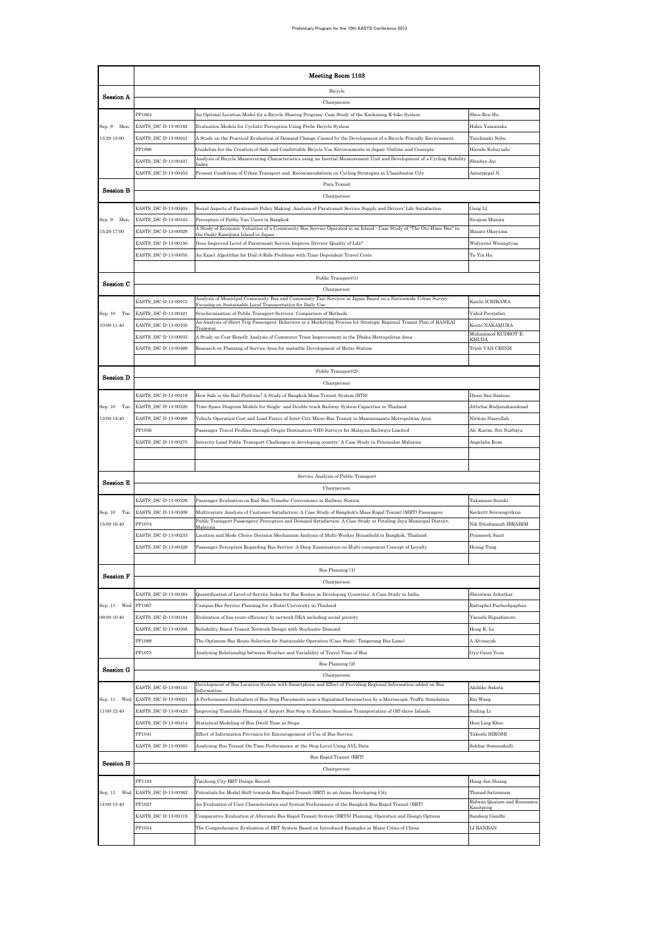|                                | Meeting Room 1103                            |                                                                                                                                                                                                                                         |                                                |  |  |  |  |
|--------------------------------|----------------------------------------------|-----------------------------------------------------------------------------------------------------------------------------------------------------------------------------------------------------------------------------------------|------------------------------------------------|--|--|--|--|
|                                |                                              | Bicycle                                                                                                                                                                                                                                 |                                                |  |  |  |  |
| Session A                      |                                              | Chairperson:                                                                                                                                                                                                                            |                                                |  |  |  |  |
|                                | PP1064                                       | An Optimal Location Model for a Bicycle Sharing Program: Case Study of the Kaohsiung K-bike System                                                                                                                                      | Shou-Ren Hu                                    |  |  |  |  |
| Sep. 9<br>Mon.                 | EASTS_ISC-D-13-00182                         | Evaluation Models for Cyclists' Perception Using Probe Bicycle System                                                                                                                                                                   | Hideo Yamanaka                                 |  |  |  |  |
| 13:20-15:00                    | EASTS_ISC-D-13-00041                         | A Study on the Practical Evaluation of Demand Change Caused by the Development of a Bicycle Friendly Environment                                                                                                                        | Tsuchizaki Nobu                                |  |  |  |  |
|                                | PP1096<br>EASTS_ISC-D-13-00437               | Guideline for the Creation of Safe and Comfortable Bicycle Use Environments in Japan: Outline and Concepts<br>Analysis of Bicycle Maneuvering Characteristics using an Inertial Measurement Unit and Development of a Cycling Stability | Hiroshi Kobayashi<br>Shinhye Joo               |  |  |  |  |
|                                | EASTS_ISC-D-13-00453                         | Present Conditions of Urban Transport and  Recommendations on Cycling Strategies in Ulaanbaatar City                                                                                                                                    | Amarjargal N.                                  |  |  |  |  |
|                                |                                              | Para Transit                                                                                                                                                                                                                            |                                                |  |  |  |  |
| Session B                      |                                              | Chairperson <sup>:</sup>                                                                                                                                                                                                                |                                                |  |  |  |  |
|                                | EASTS_ISC-D-13-00404                         | Social Aspects of Paratransit Policy Making: Analysis of Paratransit Service Supply and Drivers' Life Satisfaction                                                                                                                      | Gang LI                                        |  |  |  |  |
| Sep. 9 Mon.                    | EASTS_ISC-D-13-00343                         | Perception of Public Van Users in Bangkok                                                                                                                                                                                               | Sirajum Munira                                 |  |  |  |  |
| 15:20-17:00                    | EASTS_ISC-D-13-00029                         | A Study of Economic Valuation of a Community Bus Service Operated in an Island - Case Study of "The Oto Hime Bus" in<br>he Osaki Kamijima Island in Japan                                                                               | Masato Okayama                                 |  |  |  |  |
|                                | EASTS_ISC-D-13-00150                         | Does Improved Level of Paratransit Service Improve Drivers' Quality of Life?                                                                                                                                                            | Widyarini Weningtyas                           |  |  |  |  |
|                                | EASTS_ISC-D-13-00055                         | An Exact Algorithm for Dial-A-Ride Problems with Time-Dependent Travel Costs                                                                                                                                                            | Ta-Yin Hu                                      |  |  |  |  |
|                                |                                              | Public Transport(1)                                                                                                                                                                                                                     |                                                |  |  |  |  |
| Session C                      |                                              | Chairperson:                                                                                                                                                                                                                            |                                                |  |  |  |  |
|                                | EASTS_ISC-D-13-00073                         | Analysis of Municipal Community Bus and Community Taxi Services in Japan Based on a Nationwide Urban Survey                                                                                                                             | Kaichi ICHIKAWA                                |  |  |  |  |
| Sep. 10 Tue.                   | EASTS_ISC-D-13-00421                         | Focusing on Sustainable Local Transportation for Daily Use<br>Synchronisation of Public Transport Services: Comparison of Methods                                                                                                       | Vahid Poorjafari                               |  |  |  |  |
| 10:00-11:40                    | EASTS ISC-D-13-00435                         | An Analysis of Short Trip Passengers' Behaviors in a Marketing Process for Strategic Regional Transit Plan of HANKAI<br>Tramwa                                                                                                          | Kento NAKAMURA                                 |  |  |  |  |
|                                | EASTS_ISC-D-13-00035                         | A Study on Cost-Benefit Analysis of Commuter Train Improvement in the Dhaka Metropolitan Area                                                                                                                                           | Muhammod KUDROT-E-<br>KHUDA                    |  |  |  |  |
|                                | EASTS_ISC-D-13-00469                         | Research on Planning of Service Area for sustaible Development of Metro Station                                                                                                                                                         | Trinh VAN CHINH                                |  |  |  |  |
|                                |                                              |                                                                                                                                                                                                                                         |                                                |  |  |  |  |
| <b>Session D</b>               |                                              | Public Transport(2)                                                                                                                                                                                                                     |                                                |  |  |  |  |
|                                | EASTS_ISC-D-13-00219                         | Chairperson:                                                                                                                                                                                                                            | Djoen San Santoso                              |  |  |  |  |
| Sep. 10 Tue.                   | EASTS_ISC-D-13-00320                         | How Safe is the Rail Platform? A Study of Bangkok Mass Transit System (BTS)<br>Time-Space Diagram Models for Single- and Double-track Railway System Capacities in Thailand                                                             | Jittichai Rudjanakanoknad                      |  |  |  |  |
| 13:00-14:40                    | EASTS_ISC-D-13-00468                         | Vehicle Operation Cost and Load Factor of Inter-City Micro-Bus Transit in Mamminasata Metropolitan Area                                                                                                                                 | Nirwan Nasrullah                               |  |  |  |  |
|                                | PP1036                                       | Passenger Travel Profiles through Origin Destination (OD) Surveys for Malayan Railways Limited                                                                                                                                          | Ab. Karim, Siti Nurbaya                        |  |  |  |  |
|                                | EASTS_ISC-D-13-00275                         | Intercity Land Public Transport Challenges in developing country. A Case Study in Peninsular Malaysia                                                                                                                                   | Angelalia Roza                                 |  |  |  |  |
|                                |                                              |                                                                                                                                                                                                                                         |                                                |  |  |  |  |
|                                |                                              |                                                                                                                                                                                                                                         |                                                |  |  |  |  |
| <b>Session E</b>               |                                              | Service Analysis of Public Transport                                                                                                                                                                                                    |                                                |  |  |  |  |
|                                |                                              | Chairperson <sup>:</sup>                                                                                                                                                                                                                |                                                |  |  |  |  |
| Sep. 10 Tue.                   | EASTS_ISC-D-13-00326<br>EASTS_ISC-D-13-00309 | Passenger Evaluation on Rail-Bus Transfer Convenience in Railway Station<br>Multivariate Analysis of Customer Satisfaction: A Case Study of Bangkok's Mass Rapid Transit (MRT) Passengers                                               | Takamasa Suzuki<br>Kerkritt Sriroongvikrai     |  |  |  |  |
| $15:00 - 16:40$                | PP1074                                       | Public Transport Passengers' Perception and Demand Satisfaction: A Case Study at Petaling Jaya Municipal District,                                                                                                                      | Nik Ibtishamiah IBRAHIM                        |  |  |  |  |
|                                | EASTS_ISC-D-13-00233                         | Malaysia<br>Location and Mode Choice Decision Mechanism Analysis of Multi-Worker Household in Bangkok, Thailand                                                                                                                         | Peamsook Sanit                                 |  |  |  |  |
|                                | EASTS_ISC-D-13-00328                         | Passenger Perception Regarding Bus Service: A Deep Examination on Multi-component Concept of Loyalty                                                                                                                                    | Hoang-Tung                                     |  |  |  |  |
|                                |                                              |                                                                                                                                                                                                                                         |                                                |  |  |  |  |
| <b>Session F</b>               |                                              | Bus Planning (1)                                                                                                                                                                                                                        |                                                |  |  |  |  |
|                                |                                              | Chairperson:                                                                                                                                                                                                                            |                                                |  |  |  |  |
|                                | EASTS ISC-D-13-00384                         | Quantification of Level of Service Index for Bus Routes in Developing Countries: A Case Study in India                                                                                                                                  | Shriniwas Arkatkar                             |  |  |  |  |
| Sep. 11<br>Wed.<br>09:00-10:40 | PP1067<br>EASTS_ISC-D-13-00184               | Campus Bus Service Planning for a Rural University in Thailand<br>Evaluation of bus route efficiency by network DEA including social priority                                                                                           | Rattaphol Pueboobpaphan<br>Yasushi Higashimoto |  |  |  |  |
|                                | EASTS_ISC-D-13-00305                         | Reliability Based Transit Network Design with Stochastic Demand                                                                                                                                                                         | Hong K. Lo                                     |  |  |  |  |
|                                | PP1089                                       | The Optimum Bus Route Selection for Sustainable Operation (Case Study: Tangerang Bus Lane)                                                                                                                                              | A Alvinsyah                                    |  |  |  |  |
|                                | PP1073                                       | Analyzing Relationship between Weather and Variability of Travel Time of Bus                                                                                                                                                            | Gyu-Geun Yoon                                  |  |  |  |  |
| Session G                      |                                              | Bus Planning (2)                                                                                                                                                                                                                        |                                                |  |  |  |  |
|                                |                                              | Chairperson:                                                                                                                                                                                                                            |                                                |  |  |  |  |
|                                | EASTS_ISC-D-13-00141                         | Development of Bus Location System with Smartphone and Effect of Providing Regional Information added on Bus                                                                                                                            | Akihiko Sakata                                 |  |  |  |  |
| Sep. 11 Wed                    | EASTS_ISC-D-13-00021                         | A Performance Evaluation of Bus Stop Placements near a Signalized Intersection by a Microscopic Traffic Simulation                                                                                                                      | Rui Wang                                       |  |  |  |  |
| 11:00-12:40                    | EASTS_ISC-D-13-00423                         | Improving Timetable Planning of Airport Bus Stop to Enhance Seamless Transportation of Off-shore Islands                                                                                                                                | Suiling Li                                     |  |  |  |  |
|                                | EASTS_ISC-D-13-00414<br>PP1041               | Statistical Modeling of Bus Dwell Time at Stops                                                                                                                                                                                         | Hooi Ling Khoo                                 |  |  |  |  |
|                                | EASTS_ISC-D-13-00063                         | Effect of Information Provision for Encouragement of Use of Bus Service<br>Analysing Bus Transit On-Time Performance at the Stop Level Using AVL Data                                                                                   | Takeshi HIROSE<br>Sekhar Somenahalli           |  |  |  |  |
|                                |                                              | Bus Rapid Transit (BRT)                                                                                                                                                                                                                 |                                                |  |  |  |  |
| <b>Session H</b>               |                                              | Chairperson <sup>:</sup>                                                                                                                                                                                                                |                                                |  |  |  |  |
|                                | PP1103                                       | Taichung City BRT Design Record                                                                                                                                                                                                         | Hung-Jen Huang                                 |  |  |  |  |
| Sep. 11<br>Wed                 | EASTS_ISC-D-13-00362                         | Potentials for Modal Shift towards Bus Rapid Transit (BRT) in an Asian Developing City                                                                                                                                                  | Thaned Satiennam                               |  |  |  |  |
| 14:00-15:40                    | PP1027                                       | An Evaluation of User Characteristics and System Performance of the Bangkok Bus Rapid Transit (BRT)                                                                                                                                     | Ridwan Quaium and Kunnawee<br>Kanitpons        |  |  |  |  |
|                                | EASTS_ISC-D-13-00119                         | Comparative Evaluation of Alternate Bus Rapid Transit System (BRTS) Planning, Operation and Design Options                                                                                                                              | Sandeep Gandhi                                 |  |  |  |  |
|                                | PP1034                                       | The Comprehensive Evaluation of BRT System Based on Introduced Examples in Major Cities of China                                                                                                                                        | LI BANBAN                                      |  |  |  |  |
|                                |                                              |                                                                                                                                                                                                                                         |                                                |  |  |  |  |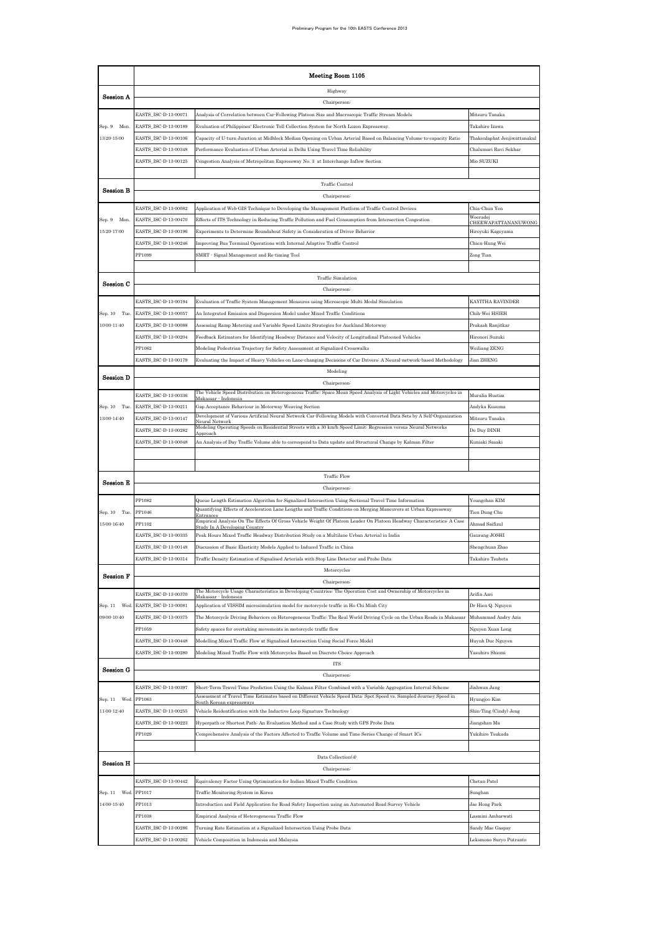|                  | Meeting Room 1105                            |                                                                                                                                                                                                                                                      |                                          |  |  |  |  |
|------------------|----------------------------------------------|------------------------------------------------------------------------------------------------------------------------------------------------------------------------------------------------------------------------------------------------------|------------------------------------------|--|--|--|--|
| Session A        |                                              | Highway                                                                                                                                                                                                                                              |                                          |  |  |  |  |
|                  |                                              | Chairperson <sup>:</sup>                                                                                                                                                                                                                             |                                          |  |  |  |  |
|                  | EASTS_ISC-D-13-00071                         | Analysis of Correlation between Car-Following Platoon Size and Macroscopic Traffic Stream Models                                                                                                                                                     | Mitsuru Tanaka                           |  |  |  |  |
| Sep. 9 Mon.      | EASTS_ISC-D-13-00189                         | Evaluation of Philippines' Electronic Toll Collection System for North Luzon Expressway.                                                                                                                                                             | Takahiro Izawa                           |  |  |  |  |
| 13:20-15:00      | EASTS_ISC-D-13-00106                         | Capacity of U-turn Junction at Midblock Median Opening on Urban Arterial Based on Balancing Volume-to-capacity Ratio                                                                                                                                 | Thakonlaphat Jenjiwattanakul             |  |  |  |  |
|                  | EASTS_ISC-D-13-00348                         | Performance Evaluation of Urban Arterial in Delhi Using Travel Time Reliability                                                                                                                                                                      | Chalumari Ravi Sekhar                    |  |  |  |  |
|                  | EASTS_ISC-D-13-00125                         | Congestion Analysis of Metropolitan Expressway No. 3 at Interchange Inflow Section                                                                                                                                                                   | Mio SUZUKI                               |  |  |  |  |
|                  |                                              | Traffic Control                                                                                                                                                                                                                                      |                                          |  |  |  |  |
| <b>Session B</b> |                                              | Chairperson:                                                                                                                                                                                                                                         |                                          |  |  |  |  |
|                  | EASTS_ISC-D-13-00082                         | Application of Web-GIS Technique to Developing the Management Platform of Traffic Control Devices                                                                                                                                                    | Chia-Chun Yen                            |  |  |  |  |
| Sep. 9 Mon.      | EASTS_ISC-D-13-00470                         | Effects of ITS Technology in Reducing Traffic Pollution and Fuel Consumption from Intersection Congestion                                                                                                                                            | Weeradej                                 |  |  |  |  |
| 15:20-17:00      | EASTS_ISC-D-13-00196                         | Experiments to Determine Roundabout Safety in Consideration of Driver Behavior                                                                                                                                                                       | CHEEWAPATTANANUWONG<br>Hiroyuki Kageyama |  |  |  |  |
|                  | EASTS_ISC-D-13-00246                         | Improving Bus Terminal Operations with Internal Adaptive Traffic Control                                                                                                                                                                             | Chien-Hung Wei                           |  |  |  |  |
|                  | PP1099                                       | SMRT - Signal Management and Re-timing Tool                                                                                                                                                                                                          | Zong Tian                                |  |  |  |  |
|                  |                                              |                                                                                                                                                                                                                                                      |                                          |  |  |  |  |
| Session C        |                                              | Traffic Simulation                                                                                                                                                                                                                                   |                                          |  |  |  |  |
|                  |                                              | Chairperson:                                                                                                                                                                                                                                         |                                          |  |  |  |  |
|                  | EASTS ISC-D-13-00194                         | Evaluation of Traffic System Management Measures using Microscopic Multi Modal Simulation                                                                                                                                                            | KAYITHA RAVINDER                         |  |  |  |  |
| Sep. 10 Tue.     | EASTS_ISC-D-13-00057                         | An Integrated Emission and Dispersion Model under Mixed Traffic Conditions                                                                                                                                                                           | Chih-Wei HSIEH                           |  |  |  |  |
| $10:00 - 11:40$  | EASTS_ISC-D-13-00088                         | Assessing Ramp Metering and Variable Speed Limits Strategies for Auckland Motorway                                                                                                                                                                   | Prakash Ranjitkar                        |  |  |  |  |
|                  | EASTS_ISC-D-13-00204                         | Feedback Estimators for Identifying Headway Distance and Velocity of Longitudinal Platooned Vehicles                                                                                                                                                 | Hironori Suzuki                          |  |  |  |  |
|                  | PP1062                                       | Modeling Pedestrian Trajectory for Safety Assessment at Signalized Crosswalks                                                                                                                                                                        | Weiliang ZENG                            |  |  |  |  |
|                  | EASTS_ISC-D-13-00179                         | Evaluating the Impact of Heavy Vehicles on Lane changing Decisions of Car Drivers: A Neural network based Methodology<br>Modeling                                                                                                                    | Jian ZHENG                               |  |  |  |  |
| <b>Session D</b> |                                              | Chairperson:                                                                                                                                                                                                                                         |                                          |  |  |  |  |
|                  | EASTS_ISC-D-13-00336                         | The Vehicle Speed Distribution on Heterogeneous Traffic: Space Mean Speed Analysis of Light Vehicles and Motorcycles in                                                                                                                              | Muralia Hustim                           |  |  |  |  |
| Sep. 10 Tue.     | EASTS_ISC-D-13-00211                         | Makassar - Indonesia<br>Gap Acceptance Behaviour in Motorway Weaving Section                                                                                                                                                                         | Andyka Kusuma                            |  |  |  |  |
| 13:00-14:40      | EASTS_ISC-D-13-00147                         | Development of Various Artificial Neural Network Car Following Models with Converted Data Sets by A Self Organization                                                                                                                                | Mitsuru Tanaka                           |  |  |  |  |
|                  | EASTS_ISC-D-13-00282                         | Neural Networl<br>Modeling Operating Speeds on Residential Streets with a 30 km/h Speed Limit: Regression versus Neural Networks                                                                                                                     | Do Duy DINH                              |  |  |  |  |
|                  | EASTS_ISC-D-13-00048                         | An Analysis of Day Traffic Volume able to correspond to Data update and Structural Change by Kalman Filter                                                                                                                                           | Kuniaki Sasaki                           |  |  |  |  |
|                  |                                              |                                                                                                                                                                                                                                                      |                                          |  |  |  |  |
|                  |                                              |                                                                                                                                                                                                                                                      |                                          |  |  |  |  |
| Session E        |                                              | <b>Traffic Flow</b>                                                                                                                                                                                                                                  |                                          |  |  |  |  |
|                  |                                              | Chairperson:                                                                                                                                                                                                                                         |                                          |  |  |  |  |
|                  | PP1082                                       | Queue Length Estimation Algorithm for Signalized Intersection Using Sectional Travel Time Information                                                                                                                                                | Youngchan KIM                            |  |  |  |  |
| Sep. 10 Tue.     | PP1046                                       | Quantifying Effects of Acceleration Lane Lengths and Traffic Conditions on Merging Maneuvers at Urban Expressway<br>Entran<br>Empirical Analysis On The Effects Of Gross Vehicle Weight Of Platoon Leader On Platoon Headway Characteristics: A Case | Tien Dung Chu                            |  |  |  |  |
| 15:00-16:40      | PP1102                                       | Study In A Developing Country                                                                                                                                                                                                                        | Ahmad Saifizul                           |  |  |  |  |
|                  | EASTS_ISC-D-13-00335<br>EASTS_ISC-D-13-00148 | Peak Hours Mixed Traffic Headway Distribution Study on a Multilane Urban Arterial in India                                                                                                                                                           | Gaurang JOSHI                            |  |  |  |  |
|                  | :ASTS_ISC-D-13-00314                         | Discussion of Basic Elasticity Models Applied to Induced Traffic in China<br>Fraffic Density Estimation of Signalised Arterials with Stop Line Detector and Probe Data                                                                               | Shengchuan Zhao<br>akahiro Tsubota       |  |  |  |  |
|                  |                                              | Motorcycles                                                                                                                                                                                                                                          |                                          |  |  |  |  |
| <b>Session F</b> |                                              | Chairperson:                                                                                                                                                                                                                                         |                                          |  |  |  |  |
|                  | EASTS_ISC-D-13-00370                         | The Motorcycle Usage Characteristics in Developing Countries: The Operation Cost and Ownership of Motorcycles in<br>Makassar - Indonesia                                                                                                             | Arifin Asri                              |  |  |  |  |
| Sep. 11 Wed.     | EASTS_ISC-D-13-00081                         | Application of VISSIM microsimulation model for motorcycle traffic in Ho Chi Minh City                                                                                                                                                               | Dr Hien Q. Nguyen                        |  |  |  |  |
| 09:00-10:40      | EASTS_ISC-D-13-00375                         | The Motorcycle Driving Behaviors on Heterogeneous Traffic: The Real World Driving Cycle on the Urban Roads in Makassar                                                                                                                               | Muhammad Andry Azis                      |  |  |  |  |
|                  | PP1059                                       | Safety spaces for overtaking movements in motorcycle traffic flow                                                                                                                                                                                    | Nguyen Xuan Long                         |  |  |  |  |
|                  | EASTS_ISC-D-13-00448                         | Modelling Mixed Traffic Flow at Signalized Intersection Using Social Force Model                                                                                                                                                                     | Huynh Duc Nguyen                         |  |  |  |  |
|                  | EASTS_ISC-D-13-00280                         | Modeling Mixed Traffic Flow with Motorcycles Based on Discrete Choice Approach                                                                                                                                                                       | Yasuhiro Shiomi                          |  |  |  |  |
| Session G        |                                              | ITS                                                                                                                                                                                                                                                  |                                          |  |  |  |  |
|                  |                                              | Chairperson <sup>:</sup>                                                                                                                                                                                                                             |                                          |  |  |  |  |
|                  | EASTS_ISC-D-13-00397                         | Short-Term Travel Time Prediction Using the Kalman Filter Combined with a Variable Aggregation Interval Scheme<br>Assessment of Travel Time Estimates based on Different Vehicle Speed Data: Spot Speed vs. Sampled Journey Speed in                 | Jinhwan Jang                             |  |  |  |  |
| Sep. 11 Wed.     | PP1063                                       | South Korean expressways                                                                                                                                                                                                                             | Hyungjoo Kim                             |  |  |  |  |
| 11:00-12:40      | EASTS_ISC-D-13-00255                         | Vehicle Reidentification with the Inductive Loop Signature Technology                                                                                                                                                                                | Shin-Ting (Cindy) Jeng                   |  |  |  |  |
|                  | EASTS_ISC-D-13-00223<br>PP1029               | Hyperpath or Shortest Path: An Evaluation Method and a Case Study with GPS Probe Data                                                                                                                                                                | Jiangshan Ma<br>Yukihiro Tsukada         |  |  |  |  |
|                  |                                              | Comprehensive Analysis of the Factors Affected to Traffic Volume and Time Series Change of Smart ICs                                                                                                                                                 |                                          |  |  |  |  |
|                  |                                              | Data Collection(4)                                                                                                                                                                                                                                   |                                          |  |  |  |  |
| Session H        |                                              | Chairperson:                                                                                                                                                                                                                                         |                                          |  |  |  |  |
|                  | EASTS_ISC-D-13-00442                         | Equivalency Factor Using Optimization for Indian Mixed Traffic Condition                                                                                                                                                                             | Chetan Patel                             |  |  |  |  |
| Sep. 11 Wed.     | PP1017                                       | Traffic Monitoring System in Korea                                                                                                                                                                                                                   | Sunghan                                  |  |  |  |  |
| 14:00-15:40      | PP1013                                       | Introduction and Field Application for Road Safety Inspection using an Automated Road Survey Vehicle                                                                                                                                                 | Jae Hong Park                            |  |  |  |  |
|                  | PP1038                                       | Empirical Analysis of Heterogeneous Traffic Flow                                                                                                                                                                                                     | Lasmini Ambarwati                        |  |  |  |  |
|                  |                                              |                                                                                                                                                                                                                                                      |                                          |  |  |  |  |
|                  | EASTS_ISC-D-13-00286                         | Turning Rate Estimation at a Signalized Intersection Using Probe Data                                                                                                                                                                                | Sandy Mae Gaspay                         |  |  |  |  |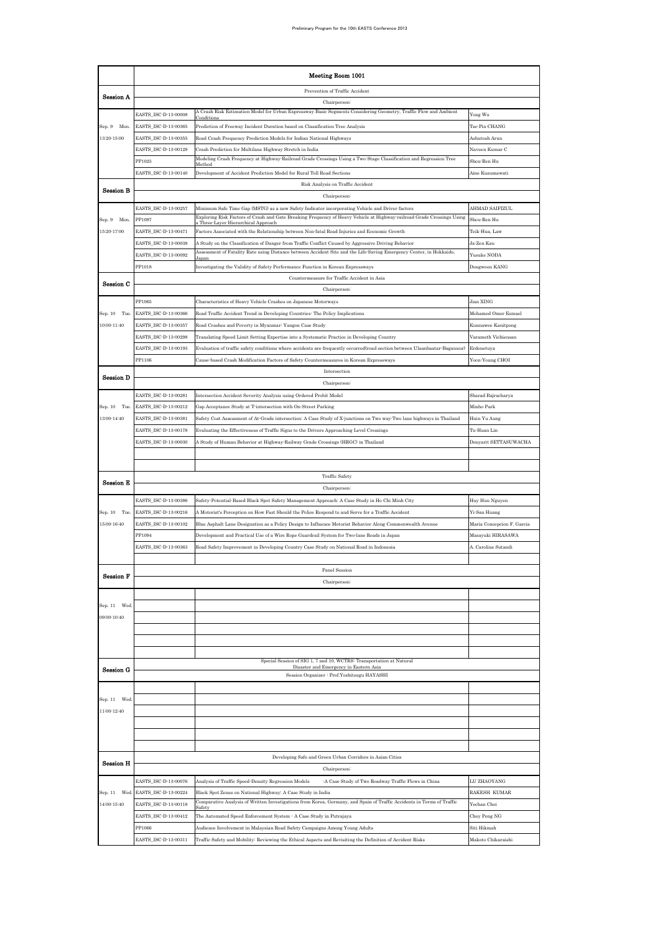|                            | Meeting Room 1001                            |                                                                                                                                                                                                                            |                                |  |  |  |  |
|----------------------------|----------------------------------------------|----------------------------------------------------------------------------------------------------------------------------------------------------------------------------------------------------------------------------|--------------------------------|--|--|--|--|
|                            |                                              | Prevention of Traffic Accident                                                                                                                                                                                             |                                |  |  |  |  |
| Session A                  |                                              | Chairperson <sup>:</sup>                                                                                                                                                                                                   |                                |  |  |  |  |
|                            | EASTS_ISC-D-13-00008                         | A Crash Risk Estimation Model for Urban Expressway Basic Segments Considering Geometry, Traffic Flow and Ambient                                                                                                           | Yong Wu                        |  |  |  |  |
| Sep. 9 Mon.                | EASTS_ISC-D-13-00365                         | Prediction of Freeway Incident Duration based on Classification Tree Analysis                                                                                                                                              | Tse-Pin CHANG                  |  |  |  |  |
| 13:20-15:00                | EASTS_ISC-D-13-00355                         | Road Crash Frequency Prediction Models for Indian National Highways                                                                                                                                                        | Ashutosh Arun                  |  |  |  |  |
|                            | EASTS_ISC-D-13-00128<br>PP1025               | Crash Prediction for Multilane Highway Stretch in India<br>Modeling Crash Frequency at Highway Railroad Grade Crossings Using a Two Stage Classification and Regression Tree                                               | Naveen Kumar C<br>Shou-Ren Hu  |  |  |  |  |
|                            | EASTS_ISC-D-13-00140                         | Development of Accident Prediction Model for Rural Toll Road Sections                                                                                                                                                      | Aine Kusumawati                |  |  |  |  |
|                            |                                              | Risk Analysis on Traffic Accident                                                                                                                                                                                          |                                |  |  |  |  |
| <b>Session B</b>           |                                              | Chairperson <sup>:</sup>                                                                                                                                                                                                   |                                |  |  |  |  |
|                            | EASTS ISC-D-13-00257                         | Minimum Safe Time Gap (MSTG) as a new Safety Indicator incorporating Vehicle and Driver factors                                                                                                                            | AHMAD SAIFIZUL                 |  |  |  |  |
| Sep. 9 Mon.                | PP1097                                       | Exploring Risk Factors of Crash and Gate Breaking Frequency of Heavy Vehicle at Highway railroad Grade Crossings Using<br>Three Laver Hierarchical Annroac                                                                 | Shou-Ren Hu                    |  |  |  |  |
| 15:20-17:00                | EASTS_ISC-D-13-00471                         | Factors Associated with the Relationship between Non-fatal Road Injuries and Economic Growth                                                                                                                               | Teik-Hua, Law                  |  |  |  |  |
|                            | EASTS_ISC-D-13-00038                         | A Study on the Classification of Danger from Traffic Conflict Caused by Aggressive Driving Behavior<br>Assessment of Fatality Rate using Distance between Accident Site and the Life Saving Emergency Center, in Hokkaido, | Ja-Zen Kau                     |  |  |  |  |
|                            | EASTS_ISC-D-13-00092                         | Japan                                                                                                                                                                                                                      | Yusuke NODA                    |  |  |  |  |
|                            | PP1018                                       | Investigating the Validity of Safety Performance Function in Korean Expressways<br>Countermeasure for Traffic Accident in Asia                                                                                             | Dongwoon KANG                  |  |  |  |  |
| Session C                  |                                              | Chairperson:                                                                                                                                                                                                               |                                |  |  |  |  |
|                            | PP1065                                       | Characteristics of Heavy Vehicle Crashes on Japanese Motorways                                                                                                                                                             | Jian XING                      |  |  |  |  |
| Sep. 10 Tue.               | EASTS_ISC-D-13-00366                         | Road Traffic Accident Trend in Developing Countries <sup>-</sup> The Policy Implications                                                                                                                                   | Mohamed Omer Esmael            |  |  |  |  |
| 10:00-11:40                | EASTS_ISC-D-13-00357                         | Road Crashes and Poverty in Myanmar: Yangon Case Study                                                                                                                                                                     | Kunnawee Kanitpong             |  |  |  |  |
|                            | EASTS_ISC-D-13-00298                         | Translating Speed Limit Setting Expertise into a Systematic Practice in Developing Country                                                                                                                                 | Varameth Vichiensan            |  |  |  |  |
|                            | EASTS_ISC-D-13-00193                         | Evaluation of traffic safety conditions where accidents are frequently occurred(road section between Ulaanbaatar Baganuur)                                                                                                 | Erdenetuya                     |  |  |  |  |
|                            | PP1106                                       | Cause based Crash Modification Factors of Safety Countermeasures in Korean Expressways                                                                                                                                     | Yoon-Young CHOI                |  |  |  |  |
| <b>Session D</b>           |                                              | Intersection                                                                                                                                                                                                               |                                |  |  |  |  |
|                            | EASTS_ISC-D-13-00281                         | Chairperson:                                                                                                                                                                                                               | Sharad Bajracharya             |  |  |  |  |
| Sep. 10 Tue.               | EASTS_ISC-D-13-00212                         | Intersection Accident Severity Analysis using Ordered Probit Model<br>Gap Acceptance Study at T-intersection with On-Street Parking                                                                                        | Minho Park                     |  |  |  |  |
| 13:00-14:40                | EASTS_ISC-D-13-00381                         | Safety Cost Assessment of At-Grade intersection: A Case Study of X-junctions on Two way-Two lane highways in Thailand                                                                                                      | Hnin Yu Aung                   |  |  |  |  |
|                            | EASTS_ISC-D-13-00178                         | Evaluating the Effectiveness of Traffic Signs to the Drivers Approaching Level Crossings                                                                                                                                   | Tu-Huan Lin                    |  |  |  |  |
|                            | EASTS_ISC-D-13-00030                         | A Study of Human Behavior at Highway-Railway Grade Crossings (HRGC) in Thailand                                                                                                                                            | Donyarit SETTASUWACHA          |  |  |  |  |
|                            |                                              |                                                                                                                                                                                                                            |                                |  |  |  |  |
|                            |                                              |                                                                                                                                                                                                                            |                                |  |  |  |  |
| <b>Session E</b>           |                                              | Traffic Safety                                                                                                                                                                                                             |                                |  |  |  |  |
|                            |                                              | Chairperson <sup>:</sup><br>Safety Potential Based Black Spot Safety Management Approach: A Case Study in Ho Chi Minh City                                                                                                 |                                |  |  |  |  |
| Sep. 10 Tue.               | EASTS_ISC-D-13-00386<br>EASTS_ISC-D-13-00216 | A Motorist's Perception on How Fast Should the Police Respond to and Serve for a Traffic Accident                                                                                                                          | Huy Huu Nguyen<br>Yi-San Huang |  |  |  |  |
| 15:00-16:40                | EASTS_ISC-D-13-00102                         | Blue Asphalt Lane Designation as a Policy Design to Influence Motorist Behavior Along Commonwealth Avenue                                                                                                                  | Maria Concepcion F. Garcia     |  |  |  |  |
|                            | PP1094                                       | Development and Practical Use of a Wire Rope Guardrail System for Two-lane Roads in Japan                                                                                                                                  | Masayuki HIRASAWA              |  |  |  |  |
|                            | EASTS_ISC-D-13-00363                         | Road Safety Improvement in Developing Country Case Study on National Road in Indonesia                                                                                                                                     | A. Caroline Sutandi            |  |  |  |  |
|                            |                                              |                                                                                                                                                                                                                            |                                |  |  |  |  |
| <b>Session F</b>           |                                              | Panel Session                                                                                                                                                                                                              |                                |  |  |  |  |
|                            |                                              | Chairperson:                                                                                                                                                                                                               |                                |  |  |  |  |
|                            |                                              |                                                                                                                                                                                                                            |                                |  |  |  |  |
| Sep. 11 Wed<br>09:00-10:40 |                                              |                                                                                                                                                                                                                            |                                |  |  |  |  |
|                            |                                              |                                                                                                                                                                                                                            |                                |  |  |  |  |
|                            |                                              |                                                                                                                                                                                                                            |                                |  |  |  |  |
|                            |                                              |                                                                                                                                                                                                                            |                                |  |  |  |  |
| Session G                  |                                              | Special Session of SIG 1, 7 and 10, WCTRS: Transportation at Natural<br>Disaster and Emergency in Eastern Asia                                                                                                             |                                |  |  |  |  |
|                            |                                              | Session Organizer : Prof.Yoshitsugu HAYASHI                                                                                                                                                                                |                                |  |  |  |  |
|                            |                                              |                                                                                                                                                                                                                            |                                |  |  |  |  |
| Sep. 11 Wed                |                                              |                                                                                                                                                                                                                            |                                |  |  |  |  |
| 11:00-12:40                |                                              |                                                                                                                                                                                                                            |                                |  |  |  |  |
|                            |                                              |                                                                                                                                                                                                                            |                                |  |  |  |  |
|                            |                                              |                                                                                                                                                                                                                            |                                |  |  |  |  |
|                            |                                              | Developing Safe and Green Urban Corridors in Asian Cities                                                                                                                                                                  |                                |  |  |  |  |
| <b>Session H</b>           |                                              | Chairperson <sup>:</sup>                                                                                                                                                                                                   |                                |  |  |  |  |
|                            | EASTS_ISC-D-13-00076                         | Analysis of Traffic Speed-Density Regression Models<br>A Case Study of Two Roadway Traffic Flows in China                                                                                                                  | LU ZHAOYANG                    |  |  |  |  |
| Sep. 11 Wed                | EASTS_ISC-D-13-00224                         | Black Spot Zones on National Highway: A Case Study in India                                                                                                                                                                | RAKESH KUMAR                   |  |  |  |  |
| 14:00-15:40                | EASTS_ISC-D-13-00118                         | Comparative Analysis of Written Investigations from Korea, Germany, and Spain of Traffic Accidents in Terms of Traffic                                                                                                     | Yechan Choi                    |  |  |  |  |
|                            | EASTS_ISC-D-13-00412                         | The Automated Speed Enforcement System · A Case Study in Putrajaya                                                                                                                                                         | Choy Peng NG                   |  |  |  |  |
|                            | PP1066                                       | Audience Involvement in Malaysian Road Safety Campaigns Among Young Adults                                                                                                                                                 | Siti Hikmah                    |  |  |  |  |
|                            | EASTS_ISC-D-13-00311                         | Traffic Safety and Mobility: Reviewing the Ethical Aspects and Revisiting the Definition of Accident Risks                                                                                                                 | Makoto Chikaraishi             |  |  |  |  |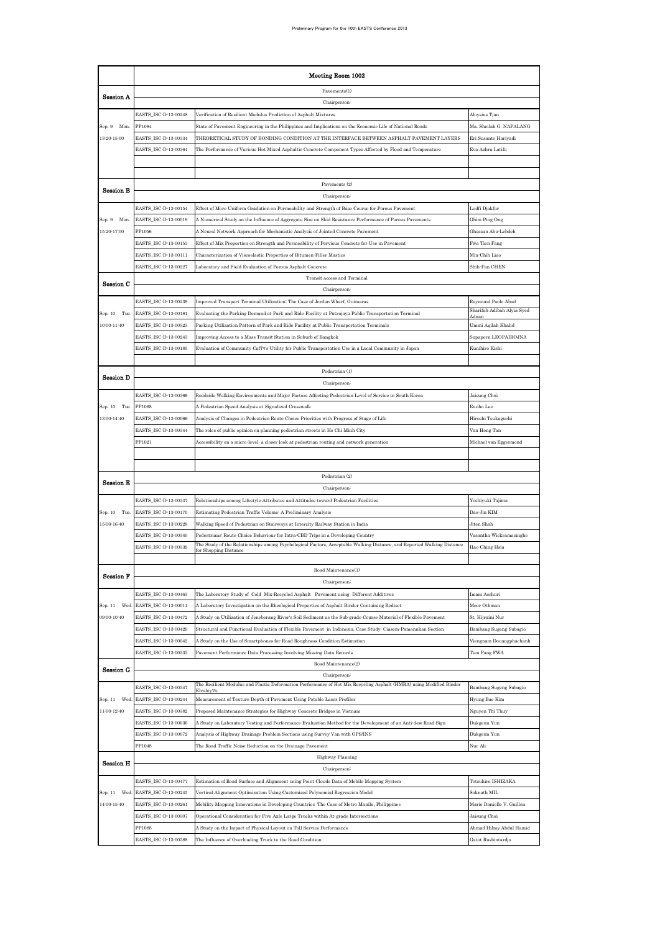|                                | Meeting Room 1002                            |                                                                                                                                                                                                                   |                                       |  |  |  |  |
|--------------------------------|----------------------------------------------|-------------------------------------------------------------------------------------------------------------------------------------------------------------------------------------------------------------------|---------------------------------------|--|--|--|--|
|                                |                                              | Pavements(1)                                                                                                                                                                                                      |                                       |  |  |  |  |
| Session A                      |                                              | Chairperson <sup>:</sup>                                                                                                                                                                                          |                                       |  |  |  |  |
|                                | EASTS_ISC-D-13-00248                         | Verification of Resilient Modulus Prediction of Asphalt Mixtures                                                                                                                                                  | Aloysius Tjan                         |  |  |  |  |
| Sep. 9 Mon.                    | PP1084                                       | State of Pavement Engineering in the Philippines and Implications on the Economic Life of National Roads                                                                                                          | Ma. Sheilah G. NAPALANG               |  |  |  |  |
| 13:20-15:00                    | EASTS ISC-D-13-00334                         | THEORETICAL STUDY OF BONDING CONDITION AT THE INTERFACE BETWEEN ASPHALT PAVEMENT LAYERS                                                                                                                           | Eri Susanto Hariyadi                  |  |  |  |  |
|                                | EASTS_ISC-D-13-00364                         | The Performance of Various Hot Mixed Asphaltic Concrete Component Types Affected by Flood and Temperature                                                                                                         | Eva Azhra Latifa                      |  |  |  |  |
|                                |                                              |                                                                                                                                                                                                                   |                                       |  |  |  |  |
|                                |                                              |                                                                                                                                                                                                                   |                                       |  |  |  |  |
| <b>Session B</b>               |                                              | Payements (2)<br>Chairperson                                                                                                                                                                                      |                                       |  |  |  |  |
|                                | EASTS_ISC-D-13-00154                         | Effect of More Uniform Gradation on Permeability and Strength of Base Course for Porous Pavement                                                                                                                  | Ludfi Djakfar                         |  |  |  |  |
| Sep. 9 Mon.                    | EASTS_ISC-D-13-00019                         | A Numerical Study on the Influence of Aggregate Size on Skid Resistance Performance of Porous Pavements                                                                                                           | Ghim Ping Ong                         |  |  |  |  |
| 15:20-17:00                    | PP1056                                       | A Neural Network Approach for Mechanistic Analysis of Jointed Concrete Pavement                                                                                                                                   | Ghassan Abu-Lebdeh                    |  |  |  |  |
|                                | EASTS_ISC-D-13-00153                         | Effect of Mix Proportion on Strength and Permeability of Pervious Concrete for Use in Pavement                                                                                                                    | Fwa Tien Fang                         |  |  |  |  |
|                                | EASTS_ISC-D-13-00111                         | Characterization of Viscoelastic Properties of Bitumen-Filler Mastics                                                                                                                                             | Min-Chih Liao                         |  |  |  |  |
|                                | EASTS_ISC-D-13-00227                         | Laboratory and Field Evaluation of Porous Asphalt Concrete                                                                                                                                                        | Shih-Fan CHEN                         |  |  |  |  |
|                                |                                              | Transit access and Terminal                                                                                                                                                                                       |                                       |  |  |  |  |
| Session C                      |                                              | Chairperson:                                                                                                                                                                                                      |                                       |  |  |  |  |
|                                | EASTS_ISC-D-13-00239                         | Improved Transport Terminal Utilization: The Case of Jordan Wharf, Guimaras                                                                                                                                       | Raymund Paolo Abad                    |  |  |  |  |
| Sep. 10 Tue.                   | EASTS_ISC-D-13-00181                         | Evaluating the Parking Demand at Park and Ride Facility at Putrajaya Public Transportation Terminal                                                                                                               | Sharifah Adibah Alyia Syed<br>Adnar   |  |  |  |  |
| 10:00-11:40                    | EASTS ISC-D-13-00323                         | Parking Utilization Pattern of Park and Ride Facility at Public Transportation Terminals                                                                                                                          | Ummi Aqilah Khalid                    |  |  |  |  |
|                                | EASTS_ISC-D-13-00243                         | Improving Access to a Mass Transit Station in Suburb of Bangkok                                                                                                                                                   | Supaporn LEOPAIROJNA                  |  |  |  |  |
|                                | EASTS_ISC-D-13-00185                         | Evaluation of Community Caf79's Utility for Public Transportation Use in a Local Community in Japan                                                                                                               | Kunihiro Kishi                        |  |  |  |  |
|                                |                                              |                                                                                                                                                                                                                   |                                       |  |  |  |  |
| <b>Session D</b>               |                                              | Pedestrian (1)                                                                                                                                                                                                    |                                       |  |  |  |  |
|                                |                                              | Chairperson:                                                                                                                                                                                                      |                                       |  |  |  |  |
|                                | EASTS_ISC-D-13-00369                         | Roadside Walking Environments and Major Factors Affecting Pedestrian Level of Service in South Korea                                                                                                              | Jaisung Choi                          |  |  |  |  |
| Sep. 10 Tue.<br>13:00-14:40    | <b>PP1068</b><br>EASTS_ISC-D-13-00069        | A Pedestrian Speed Analysis at Signalized Crosswalk                                                                                                                                                               | Eunho Lee                             |  |  |  |  |
|                                | EASTS_ISC-D-13-00344                         | Analysis of Changes in Pedestrian Route Choice Priorities with Progress of Stage of Life<br>The roles of public opinion on planning pedestrian streets in Ho Chi Minh City                                        | Hiroshi Tsukaguchi                    |  |  |  |  |
|                                | PP1021                                       | Accessibility on a micro-level: a closer look at pedestrian routing and network generation                                                                                                                        | Van Hong Tan<br>Michael van Eggermond |  |  |  |  |
|                                |                                              |                                                                                                                                                                                                                   |                                       |  |  |  |  |
|                                |                                              |                                                                                                                                                                                                                   |                                       |  |  |  |  |
|                                |                                              | Pedestrian (2)                                                                                                                                                                                                    |                                       |  |  |  |  |
| Session E                      |                                              | Chairperson                                                                                                                                                                                                       |                                       |  |  |  |  |
|                                | EASTS_ISC-D-13-00337                         | Relationships among Lifestyle Attributes and Attitudes toward Pedestrian Facilities                                                                                                                               | Yoshiyuki Tajima                      |  |  |  |  |
| Sep. 10 Tue.                   | EASTS_ISC-D-13-00170                         | Estimating Pedestrian Traffic Volume: A Preliminary Analysis                                                                                                                                                      | Dae-Jin KIM                           |  |  |  |  |
| 15:00-16:40                    | EASTS_ISC-D-13-00228                         | Walking Speed of Pedestrian on Stairways at Intercity Railway Station in India                                                                                                                                    | Jiten Shah                            |  |  |  |  |
|                                | EASTS_ISC-D-13-00340                         | Pedestrians' Route Choice Behaviour for Intra-CBD Trips in a Developing Country                                                                                                                                   | Vasantha Wickramasinghe               |  |  |  |  |
|                                | EASTS_ISC-D-13-00339                         | The Study of the Relationships among Psychological Factors, Acceptable Walking Distance, and Reported Walking Distance<br>for Shopping Distance                                                                   | Hao-Ching Hsia                        |  |  |  |  |
|                                |                                              |                                                                                                                                                                                                                   |                                       |  |  |  |  |
| <b>Session F</b>               |                                              | Road Maintenance(1)                                                                                                                                                                                               |                                       |  |  |  |  |
|                                |                                              | Chairperson:                                                                                                                                                                                                      |                                       |  |  |  |  |
|                                | EASTS_ISC-D-13-00463                         | The Laboratory Study of Cold Mix-Recycled Asphalt Pavement using Different Additives                                                                                                                              | Imam Aschuri                          |  |  |  |  |
| Sep. 11<br>Wed.<br>09:00-10:40 | EASTS_ISC-D-13-00011<br>EASTS_ISC-D-13-00472 | A Laboratory Investigation on the Rheological Properties of Asphalt Binder Containing Rediset<br>A Study on Utilization of Jeneberang River's Soil Sediment as the Sub-grade Course Material of Flexible Pavement | Meor Othman<br>St. Hijraini Nur       |  |  |  |  |
|                                | EASTS_ISC-D-13-00429                         | Structural and Functional Evaluation of Flexible Pavement in Indonesia, Case Study: Ciasem-Pamanukan Section                                                                                                      | Bambang Sugeng Subagio                |  |  |  |  |
|                                | EASTS_ISC-D-13-00042                         | A Study on the Use of Smartphones for Road Roughness Condition Estimation                                                                                                                                         | Viengnam Douangphachanh               |  |  |  |  |
|                                | EASTS_ISC-D-13-00333                         | Pavement Performance Data Processing Involving Missing Data Records                                                                                                                                               | Tien Fang FWA                         |  |  |  |  |
|                                |                                              | Road Maintenance(2)                                                                                                                                                                                               |                                       |  |  |  |  |
| Session G                      |                                              | Chairperson:                                                                                                                                                                                                      |                                       |  |  |  |  |
|                                | EASTS_ISC-D-13-00347                         | The Resilient Modulus and Plastic Deformation Performance of Hot Mix Recycling Asphalt (HMRA) using Modified Binder<br>Elvalov                                                                                    | Bambang Sugeng Subagio                |  |  |  |  |
| Sep. 11 Wed.                   | EASTS_ISC-D-13-00244                         | Measurement of Texture Depth of Pavement Using Potable Laser Profiler                                                                                                                                             | Hyung Bae Kim                         |  |  |  |  |
| 11:00-12:40                    | EASTS_ISC-D-13-00382                         | Proposed Maintenance Strategies for Highway Concrete Bridges in Vietnam                                                                                                                                           | Nguyen Thi Thuy                       |  |  |  |  |
|                                | EASTS_ISC-D-13-00036                         | A Study on Laboratory Testing and Performance Evaluation Method for the Development of an Anti-dew Road Sign                                                                                                      | Dukgeun Yun                           |  |  |  |  |
|                                | EASTS_ISC-D-13-00072                         | Analysis of Highway Drainage Problem Sections using Survey Van with GPS/INS                                                                                                                                       | Dukgeun Yun                           |  |  |  |  |
|                                | PP1048                                       | The Road Traffic Noise Reduction on the Drainage Pavement                                                                                                                                                         | Nur Ali                               |  |  |  |  |
| Session H                      |                                              | Highway Planning                                                                                                                                                                                                  |                                       |  |  |  |  |
|                                |                                              | Chairperson <sup>:</sup>                                                                                                                                                                                          |                                       |  |  |  |  |
|                                | EASTS_ISC-D-13-00477                         | Estimation of Road Surface and Alignment using Point Clouds Data of Mobile Mapping System                                                                                                                         | Tetsuhiro ISHIZAKA                    |  |  |  |  |
| Sep. 11<br>Wed.                | EASTS_ISC-D-13-00245                         | Vertical Alignment Optimization Using Customized Polynomial Regression Model                                                                                                                                      | Soknath MIL                           |  |  |  |  |
| 14:00-15:40                    | EASTS_ISC-D-13-00261                         | Mobility Mapping Innovations in Developing Countries: The Case of Metro Manila, Philippines                                                                                                                       | Marie Danielle V. Guillen             |  |  |  |  |
|                                | EASTS_ISC-D-13-00307                         | Operational Consideration for Five Axle Large Trucks within At-grade Intersections                                                                                                                                | Jaisung Choi                          |  |  |  |  |
|                                | PP1088                                       | A Study on the Impact of Physical Layout on Toll Service Performance                                                                                                                                              | Ahmad Hilmy Abdul Hamid               |  |  |  |  |
|                                | EASTS_ISC-D-13-00388                         | The Influence of Overloading Truck to the Road Condition                                                                                                                                                          | Gatot Rusbintardjo                    |  |  |  |  |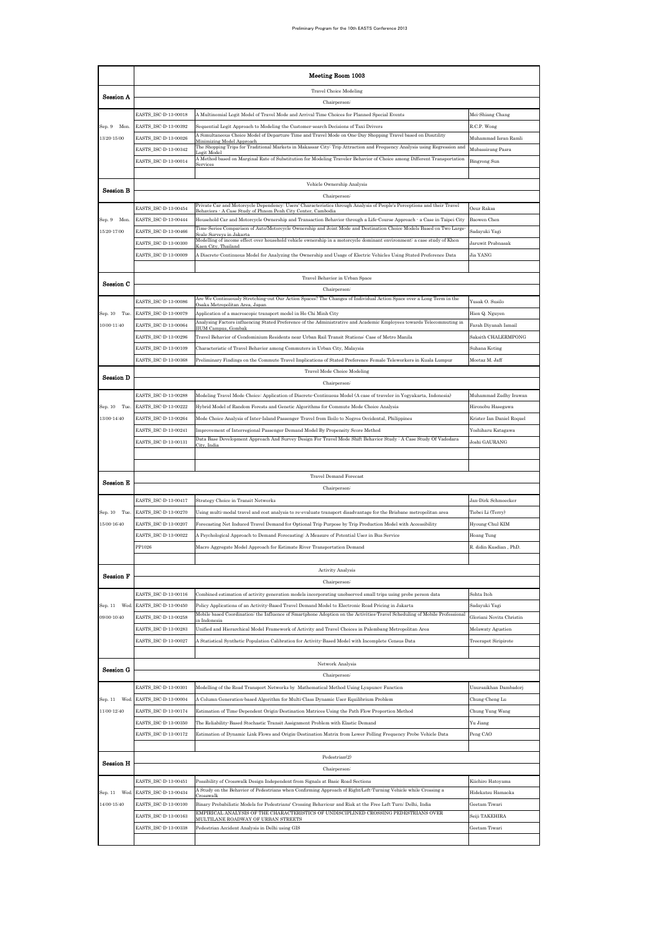|                  | Meeting Room 1003                            |                                                                                                                                                                                                                                                                       |                                     |  |  |  |
|------------------|----------------------------------------------|-----------------------------------------------------------------------------------------------------------------------------------------------------------------------------------------------------------------------------------------------------------------------|-------------------------------------|--|--|--|
|                  |                                              | <b>Travel Choice Modeling</b>                                                                                                                                                                                                                                         |                                     |  |  |  |
| Session A        |                                              | Chairperson:                                                                                                                                                                                                                                                          |                                     |  |  |  |
|                  | EASTS_ISC-D-13-00018                         | A Multinomial Logit Model of Travel Mode and Arrival Time Choices for Planned Special Events                                                                                                                                                                          | Mei-Shiang Chang                    |  |  |  |
| Sep. 9 Mon.      | EASTS_ISC-D-13-00392                         | Sequential Logit Approach to Modeling the Customer search Decisions of Taxi Drivers                                                                                                                                                                                   | R.C.P. Wong                         |  |  |  |
| 13:20-15:00      | EASTS_ISC-D-13-00026                         | A Simultaneous Choice Model of Departure Time and Travel Mode on One-Day Shopping Travel based on Disutility<br>Minimizing Model Approach<br>The Shopping Trips for Traditional Markets in Makassar City: Trip Attraction and Frequency Analysis using Regression and | Muhammad Isran Ramli                |  |  |  |
|                  | EASTS_ISC-D-13-00342                         | ogit Model<br>A Method based on Marginal Rate of Substitution for Modeling Traveler Behavior of Choice among Different Transportation                                                                                                                                 | Mubassirang Pasra                   |  |  |  |
|                  | EASTS_ISC-D-13-00014                         |                                                                                                                                                                                                                                                                       | Bingrong Sun                        |  |  |  |
| Session B        |                                              | Vehicle Ownership Analysis                                                                                                                                                                                                                                            |                                     |  |  |  |
|                  |                                              | Chairperson:                                                                                                                                                                                                                                                          |                                     |  |  |  |
|                  | EASTS_ISC-D-13-00454                         | Private Car and Motorcycle Dependency: Users' Characteristics through Analysis of People's Perceptions and their Travel<br>Behaviors - A Case Study of Phnom Penh City Center, Cambodia                                                                               | Oeur Raksa                          |  |  |  |
| Sep. 9 Mon.      | EASTS_ISC-D-13-00444                         | Household Car and Motorcycle Ownership and Transaction Behavior through a Life Course Approach - a Case in Taipei City<br>Time Series Comparison of Auto/Motorcycle Ownership and Joint Mode and Destination Choice Models Based on Two Large                         | Baowen Chen                         |  |  |  |
| $15:20 - 17:00$  | EASTS_ISC-D-13-00466                         | scale Surveys in Jakarta<br>Modelling of income effect over household vehicle ownership in a motorcycle dominant environment a case study of Khon                                                                                                                     | Sadayuki Yagi                       |  |  |  |
|                  | EASTS_ISC-D-13-00300                         | Gaen City, Thailand                                                                                                                                                                                                                                                   | Jaruwit Prabnasak                   |  |  |  |
|                  | EASTS_ISC-D-13-00009                         | A Discrete Continuous Model for Analyzing the Ownership and Usage of Electric Vehicles Using Stated Preference Data                                                                                                                                                   | Jia YANG                            |  |  |  |
|                  |                                              | Travel Behavior in Urban Space                                                                                                                                                                                                                                        |                                     |  |  |  |
| Session C        |                                              | Chairperson <sup>:</sup>                                                                                                                                                                                                                                              |                                     |  |  |  |
|                  | EASTS_ISC-D-13-00086                         | Are We Continuously Stretching out Our Action Spaces? The Changes of Individual Action Space over a Long Term in the<br>)saka Metropolitan Area Japar                                                                                                                 | Yusak O. Susilo                     |  |  |  |
| Sep. 10 Tue.     | EASTS_ISC-D-13-00079                         | Application of a macroscopic transport model in Ho Chi Minh City                                                                                                                                                                                                      | Hien Q. Nguyen                      |  |  |  |
| 10:00-11:40      | EASTS_ISC-D-13-00064                         | Analysing Factors influencing Stated Preference of the Administrative and Academic Employees towards Telecommuting in<br><b>IIUM Campus, Gombal</b>                                                                                                                   | Farah Diyanah Ismail                |  |  |  |
|                  | EASTS_ISC-D-13-00296                         | Travel Behavior of Condominium Residents near Urban Rail Transit Stations: Case of Metro Manila                                                                                                                                                                       | Saksith CHALERMPONG                 |  |  |  |
|                  | EASTS_ISC-D-13-00109                         | Characteristic of Travel Behavior among Commuters in Urban City, Malaysia                                                                                                                                                                                             | Suhana Koting                       |  |  |  |
|                  | EASTS_ISC-D-13-00368                         | Preliminary Findings on the Commute Travel Implications of Stated Preference Female Teleworkers in Kuala Lumpur                                                                                                                                                       | Mootaz M Jaff                       |  |  |  |
| <b>Session D</b> |                                              | <b>Travel Mode Choice Modeling</b>                                                                                                                                                                                                                                    |                                     |  |  |  |
|                  |                                              | Chairperson:                                                                                                                                                                                                                                                          |                                     |  |  |  |
|                  | EASTS_ISC-D-13-00288                         | Modeling Travel Mode Choice: Application of Discrete Continuous Model (A case of traveler in Yogyakarta, Indonesia)                                                                                                                                                   | Muhammad Zudhy Irawan               |  |  |  |
| Sep. 10 Tue.     | EASTS_ISC-D-13-00222                         | Hybrid Model of Random Forests and Genetic Algorithms for Commute Mode Choice Analysis                                                                                                                                                                                | Hironobu Hasegawa                   |  |  |  |
| 13:00-14:40      | EASTS_ISC-D-13-00264                         | Mode Choice Analysis of Inter-Island Passenger Travel from Iloilo to Negros Occidental, Philippines                                                                                                                                                                   | Krister Ian Daniel Roquel           |  |  |  |
|                  | EASTS_ISC-D-13-00241<br>EASTS_ISC-D-13-00131 | Improvement of Interregional Passenger Demand Model By Propensity Score Method<br>Data Base Development Approach And Survey Design For Travel Mode Shift Behavior Study : A Case Study Of Vadodara                                                                    | Yoshiharu Katagawa<br>Joshi GAURANG |  |  |  |
|                  |                                              | City, India                                                                                                                                                                                                                                                           |                                     |  |  |  |
|                  |                                              |                                                                                                                                                                                                                                                                       |                                     |  |  |  |
| Session E        |                                              | <b>Travel Demand Forecast</b>                                                                                                                                                                                                                                         |                                     |  |  |  |
|                  |                                              | Chairperson:                                                                                                                                                                                                                                                          |                                     |  |  |  |
|                  | EASTS_ISC-D-13-00417                         | Strategy Choice in Transit Networks                                                                                                                                                                                                                                   | Jan-Dirk Schmoecker                 |  |  |  |
| Sep. 10 Tue.     | EASTS_ISC-D-13-00270                         | Using multi-modal travel and cost analysis to re-evaluate transport disadvantage for the Brisbane metropolitan area                                                                                                                                                   | Tiebei Li (Terry)                   |  |  |  |
| $15:00 - 16:40$  | EASTS_ISC-D-13-00207                         | Forecasting Net Induced Travel Demand for Optional Trip Purpose by Trip Production Model with Accessibility                                                                                                                                                           | Hyoung-Chul KIM                     |  |  |  |
|                  | EASTS_ISC-D-13-00022<br>PP1026               | A Psychological Approach to Demand Forecasting: A Measure of Potential User in Bus Service                                                                                                                                                                            | Hoang Tung                          |  |  |  |
|                  |                                              | Macro Aggregate Model Approach for Estimate River Transportation Demand                                                                                                                                                                                               | R. didin Kusdian, PhD.              |  |  |  |
|                  |                                              | Activity Analysis                                                                                                                                                                                                                                                     |                                     |  |  |  |
| <b>Session F</b> |                                              | Chairperson:                                                                                                                                                                                                                                                          |                                     |  |  |  |
|                  | EASTS_ISC-D-13-00116                         | Combined estimation of activity generation models incorporating unobserved small trips using probe person data                                                                                                                                                        | Sohta Itoh                          |  |  |  |
| Sep. 11<br>Wed   | EASTS_ISC-D-13-00450                         | Policy Applications of an Activity Based Travel Demand Model to Electronic Road Pricing in Jakarta                                                                                                                                                                    | Sadayuki Yagi                       |  |  |  |
| 09:00-10:40      | EASTS_ISC-D-13-00258                         | Mobile based Coordination: the Influence of Smartphone Adoption on the Activities Travel Scheduling of Mobile Professional<br>n Indones:                                                                                                                              | Gloriani Novita Christin            |  |  |  |
|                  | EASTS ISC-D-13-00283                         | Unified and Hierarchical Model Framework of Activity and Travel Choices in Palembang Metropolitan Area                                                                                                                                                                | Melawaty Agustien                   |  |  |  |
|                  | EASTS_ISC-D-13-00027                         | A Statistical Synthetic Population Calibration for Activity Based Model with Incomplete Census Data                                                                                                                                                                   | Treerapot Siripirote                |  |  |  |
|                  |                                              |                                                                                                                                                                                                                                                                       |                                     |  |  |  |
| Session G        |                                              | Network Analysis<br>Chairperson:                                                                                                                                                                                                                                      |                                     |  |  |  |
|                  | EASTS_ISC-D-13-00301                         | Modelling of the Road Transport Networks by Mathematical Method Using Lyapunov Function                                                                                                                                                                               | Unursaikhan Dambadorj               |  |  |  |
| Sep. 11<br>Wed   | EASTS_ISC-D-13-00004                         | A Column Generation based Algorithm for Multi-Class Dynamic User Equilibrium Problem                                                                                                                                                                                  | Chung-Cheng Lu                      |  |  |  |
| 11:00-12:40      | EASTS_ISC-D-13-00174                         | Estimation of Time Dependent Origin Destination Matrices Using the Path Flow Proportion Method                                                                                                                                                                        | Chung Yung Wang                     |  |  |  |
|                  | EASTS_ISC-D-13-00350                         | The Reliability Based Stochastic Transit Assignment Problem with Elastic Demand                                                                                                                                                                                       | Yu Jiang                            |  |  |  |
|                  | EASTS_ISC-D-13-00172                         | Estimation of Dynamic Link Flows and Origin Destination Matrix from Lower Polling Frequency Probe Vehicle Data                                                                                                                                                        | Peng CAO                            |  |  |  |
|                  |                                              |                                                                                                                                                                                                                                                                       |                                     |  |  |  |
| <b>Session H</b> |                                              | Pedestrian(2)                                                                                                                                                                                                                                                         |                                     |  |  |  |
|                  |                                              | Chairperson:                                                                                                                                                                                                                                                          |                                     |  |  |  |
|                  | EASTS_ISC-D-13-00451                         | Possibility of Crosswalk Design Independent from Signals at Basic Road Sections                                                                                                                                                                                       | Kiichiro Hatoyama                   |  |  |  |
| Sep. 11<br>Wed.  | EASTS_ISC-D-13-00434                         | A Study on the Behavior of Pedestrians when Confirming Approach of Right/Left-Turning Vehicle while Crossing a<br>Crosswalk                                                                                                                                           | Hidekatsu Hamaoka                   |  |  |  |
| 14:00-15:40      | EASTS_ISC-D-13-00100                         | Binary Probabilistic Models for Pedestrians' Crossing Behaviour and Risk at the Free Left Turn: Delhi, India<br>EMPIRICAL ANALYSIS OF THE CHARACTERISTICS OF UNDISCIPLINED CROSSING PEDESTRIANS OVER                                                                  | Geetam Tiwari                       |  |  |  |
|                  | EASTS_ISC-D-13-00163                         | MULTILANE ROADWAY OF URBAN STREETS                                                                                                                                                                                                                                    | Seiji TAKEHIRA                      |  |  |  |
|                  | EASTS_ISC-D-13-00338                         | Pedestrian Accident Analysis in Delhi using GIS                                                                                                                                                                                                                       | Geetam Tiwari                       |  |  |  |
|                  |                                              |                                                                                                                                                                                                                                                                       |                                     |  |  |  |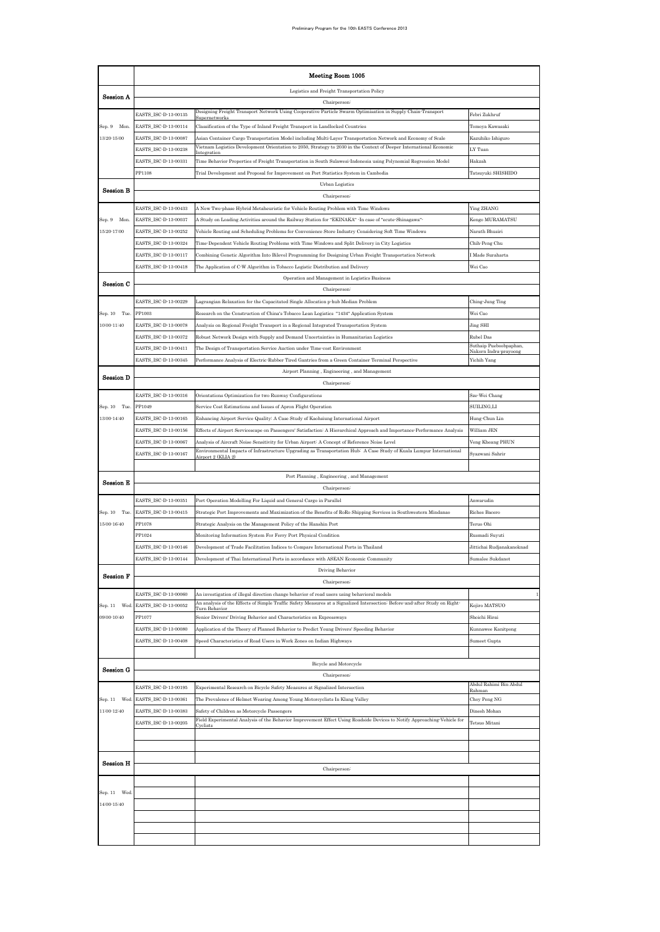|                  | Meeting Room 1005                            |                                                                                                                                                                                                                                     |                                     |  |  |  |  |
|------------------|----------------------------------------------|-------------------------------------------------------------------------------------------------------------------------------------------------------------------------------------------------------------------------------------|-------------------------------------|--|--|--|--|
| Session A        |                                              | Logistics and Freight Transportation Policy                                                                                                                                                                                         |                                     |  |  |  |  |
|                  |                                              | Chairperson <sup>:</sup>                                                                                                                                                                                                            |                                     |  |  |  |  |
|                  | EASTS_ISC-D-13-00135                         | Designing Freight Transport Network Using Cooperative Particle Swarm Optimisation in Supply Chain Transport                                                                                                                         | Febri Zukhruf                       |  |  |  |  |
| Sep. 9 Mon.      | EASTS_ISC-D-13-00114                         | Classification of the Type of Inland Freight Transport in Landlocked Countries                                                                                                                                                      | Tomoya Kawasaki                     |  |  |  |  |
| 13:20-15:00      | EASTS_ISC-D-13-00087<br>EASTS_ISC-D-13-00238 | Asian Container Cargo Transportation Model including Multi-Layer Transportation Network and Economy of Scale<br>Vietnam Logistics Development Orientation to 2050, Strategy to 2030 in the Context of Deeper International Economic | Kazuhiko Ishiguro<br>LY Tuan        |  |  |  |  |
|                  | EASTS_ISC-D-13-00331                         | Time Behavior Properties of Freight Transportation in South Sulawesi Indonesia using Polynomial Regression Model                                                                                                                    | Hakzah                              |  |  |  |  |
|                  | PP1108                                       | Trial Development and Proposal for Improvement on Port Statistics System in Cambodia                                                                                                                                                | Tatsuyuki SHISHIDO                  |  |  |  |  |
|                  |                                              | Urban Logistics                                                                                                                                                                                                                     |                                     |  |  |  |  |
| Session B        |                                              | Chairperson <sup>:</sup>                                                                                                                                                                                                            |                                     |  |  |  |  |
|                  | EASTS_ISC-D-13-00433                         | A New Two-phase Hybrid Metaheuristic for Vehicle Routing Problem with Time Windows                                                                                                                                                  | Ying ZHANG                          |  |  |  |  |
| Sep. 9 Mon.      | EASTS_ISC-D-13-00037                         | "A Study on Loading Activities around the Railway Station for "EKINAKA" -In case of "ecute-Shinagawa                                                                                                                                | Kengo MURAMATSU                     |  |  |  |  |
| 15:20-17:00      | EASTS_ISC-D-13-00252                         | Vehicle Routing and Scheduling Problems for Convenience Store Industry Considering Soft Time Windows                                                                                                                                | Narath Bhusiri                      |  |  |  |  |
|                  | EASTS_ISC-D-13-00324<br>EASTS_ISC-D-13-00117 | Time-Dependent Vehicle Routing Problems with Time Windows and Split Delivery in City Logistics                                                                                                                                      | Chih-Peng Chu<br>I Made Suraharta   |  |  |  |  |
|                  | EASTS_ISC-D-13-00418                         | Combining Genetic Algorithm Into Bilevel Programming for Designing Urban Freight Transportation Network<br>The Application of C-W Algorithm in Tobacco Logistic Distribution and Delivery                                           | Wei Cao                             |  |  |  |  |
|                  |                                              | Operation and Management in Logistics Business                                                                                                                                                                                      |                                     |  |  |  |  |
| Session C        |                                              | Chairperson:                                                                                                                                                                                                                        |                                     |  |  |  |  |
|                  | EASTS_ISC-D-13-00229                         | Lagrangian Relaxation for the Capacitated Single Allocation p-hub Median Problem                                                                                                                                                    | Ching-Jung Ting                     |  |  |  |  |
| Sep. 10 Tue.     | PP1003                                       | Research on the Construction of China's Tobacco Lean Logistics "1434" Application System                                                                                                                                            | Wei Cao                             |  |  |  |  |
| $10:00 - 11:40$  | EASTS_ISC-D-13-00078                         | Analysis on Regional Freight Transport in a Regional Integrated Transportation System                                                                                                                                               | Jing SHI                            |  |  |  |  |
|                  | EASTS_ISC-D-13-00372                         | Robust Network Design with Supply and Demand Uncertainties in Humanitarian Logistics                                                                                                                                                | Rubel Das<br>Suthaip Pueboobpaphan, |  |  |  |  |
|                  | EASTS ISC-D-13-00411<br>EASTS_ISC-D-13-00345 | The Design of Transportation Service Auction under Time cost Environment                                                                                                                                                            | Nakorn Indra-prayoong               |  |  |  |  |
|                  |                                              | Performance Analysis of Electric Rubber Tired Gantries from a Green Container Terminal Perspective<br>Airport Planning, Engineering, and Management                                                                                 | Yichih Yang                         |  |  |  |  |
| <b>Session D</b> |                                              | Chairperson:                                                                                                                                                                                                                        |                                     |  |  |  |  |
|                  | EASTS_ISC-D-13-00316                         | Orientations Optimization for two Runway Configurations                                                                                                                                                                             | Sze-Wei Chang                       |  |  |  |  |
| Sep. 10 Tue.     | PP1049                                       | Service Cost Estimations and Issues of Apron Flight Operation                                                                                                                                                                       | SUILING,LI                          |  |  |  |  |
| 13:00-14:40      | EASTS_ISC-D-13-00165                         | Enhancing Airport Service Quality: A Case Study of Kaohsiung International Airport                                                                                                                                                  | Hung-Chun Lin                       |  |  |  |  |
|                  | EASTS_ISC-D-13-00156                         | Effects of Airport Servicescape on Passengers' Satisfaction: A Hierarchical Approach and Importance-Performance Analysis                                                                                                            | William JEN                         |  |  |  |  |
|                  | EASTS_ISC-D-13-00067                         | Analysis of Aircraft Noise Sensitivity for Urban Airport: A Concept of Reference Noise Level                                                                                                                                        | Veng Kheang PHUN                    |  |  |  |  |
|                  | EASTS_ISC-D-13-00167                         | Environmental Impacts of Infrastructure Upgrading as Transportation Hub: A Case Study of Kuala Lumpur International<br>Airport 2 (KLIA 2)                                                                                           | Syazwani Sahrir                     |  |  |  |  |
|                  |                                              | Port Planning, Engineering, and Management                                                                                                                                                                                          |                                     |  |  |  |  |
| Session E        |                                              | Chairperson <sup>:</sup>                                                                                                                                                                                                            |                                     |  |  |  |  |
|                  | EASTS_ISC-D-13-00351                         | Port Operation Modelling For Liquid and General Cargo in Parallel                                                                                                                                                                   | Anwarudin                           |  |  |  |  |
| Sep. 10 Tue.     | EASTS_ISC-D-13-00415                         | Strategic Port Improvements and Maximization of the Benefits of RoRo Shipping Services in Southwestern Mindanao                                                                                                                     | Riches Bacero                       |  |  |  |  |
| 15:00-16:40      | PP1078                                       | Strategic Analysis on the Management Policy of the Hanshin Port                                                                                                                                                                     | Teruo Ohi                           |  |  |  |  |
|                  | PP1024                                       | Monitoring Information System For Ferry Port Physical Condition                                                                                                                                                                     | Rusmadi Suyuti                      |  |  |  |  |
|                  | EASTS_ISC-D-13-00146                         | Development of Trade Facilitation Indices to Compare International Ports in Thailand                                                                                                                                                | Jittichai Rudjanakanoknad           |  |  |  |  |
|                  | :ASTS_ISC-D-13-00144                         | Development of Thai International Ports in accordance with ASEAN Economic Community<br>Driving Behavior                                                                                                                             | Sumalee Sukdanot                    |  |  |  |  |
| <b>Session F</b> |                                              | Chairperson:                                                                                                                                                                                                                        |                                     |  |  |  |  |
|                  | EASTS_ISC-D-13-00060                         | An investigation of illegal direction change behavior of road users using behavioral models                                                                                                                                         |                                     |  |  |  |  |
| Sep. 11<br>Wed.  | EASTS_ISC-D-13-00052                         | An analysis of the Effects of Simple Traffic Safety Measures at a Signalized Intersection: Before and after Study on Right-<br>Turn Behavior                                                                                        | Kojiro MATSUO                       |  |  |  |  |
| $09:00 - 10:40$  | PP1077                                       | Senior Drivers' Driving Behavior and Characteristics on Expressways                                                                                                                                                                 | Shoichi Hirai                       |  |  |  |  |
|                  | EASTS_ISC-D-13-00080                         | Application of the Theory of Planned Behavior to Predict Young Drivers' Speeding Behavior                                                                                                                                           | Kunnawee Kanitpong                  |  |  |  |  |
|                  | EASTS_ISC-D-13-00408                         | Speed Characteristics of Road Users in Work Zones on Indian Highways                                                                                                                                                                | Sumeet Gupta                        |  |  |  |  |
|                  |                                              |                                                                                                                                                                                                                                     |                                     |  |  |  |  |
| Session G        |                                              | Bicycle and Motorcycle                                                                                                                                                                                                              |                                     |  |  |  |  |
|                  | EASTS ISC-D-13-00195                         | Chairperson <sup>:</sup>                                                                                                                                                                                                            | Abdul Rahimi Bin Abdul              |  |  |  |  |
| Sep. 11 Wed.     | EASTS_ISC-D-13-00361                         | Experimental Research on Bicycle Safety Measures at Signalized Intersection<br>The Prevalence of Helmet Wearing Among Young Motorcyclists In Klang Valley                                                                           | Rahmar<br>Choy Peng NG              |  |  |  |  |
| 11:00-12:40      | EASTS_ISC-D-13-00383                         | Safety of Children as Motorcycle Passengers                                                                                                                                                                                         | Dinesh Mohan                        |  |  |  |  |
|                  | EASTS_ISC-D-13-00205                         | Field Experimental Analysis of the Behavior Improvement Effect Using Roadside Devices to Notify Approaching Vehicle for<br><b>Cyclists</b>                                                                                          | Tetsuo Mitani                       |  |  |  |  |
|                  |                                              |                                                                                                                                                                                                                                     |                                     |  |  |  |  |
|                  |                                              |                                                                                                                                                                                                                                     |                                     |  |  |  |  |
| Session H        |                                              |                                                                                                                                                                                                                                     |                                     |  |  |  |  |
|                  |                                              | Chairperson:                                                                                                                                                                                                                        |                                     |  |  |  |  |
|                  |                                              |                                                                                                                                                                                                                                     |                                     |  |  |  |  |
| Sep. 11 Wed      |                                              |                                                                                                                                                                                                                                     |                                     |  |  |  |  |
| 14:00-15:40      |                                              |                                                                                                                                                                                                                                     |                                     |  |  |  |  |
|                  |                                              |                                                                                                                                                                                                                                     |                                     |  |  |  |  |
|                  |                                              |                                                                                                                                                                                                                                     |                                     |  |  |  |  |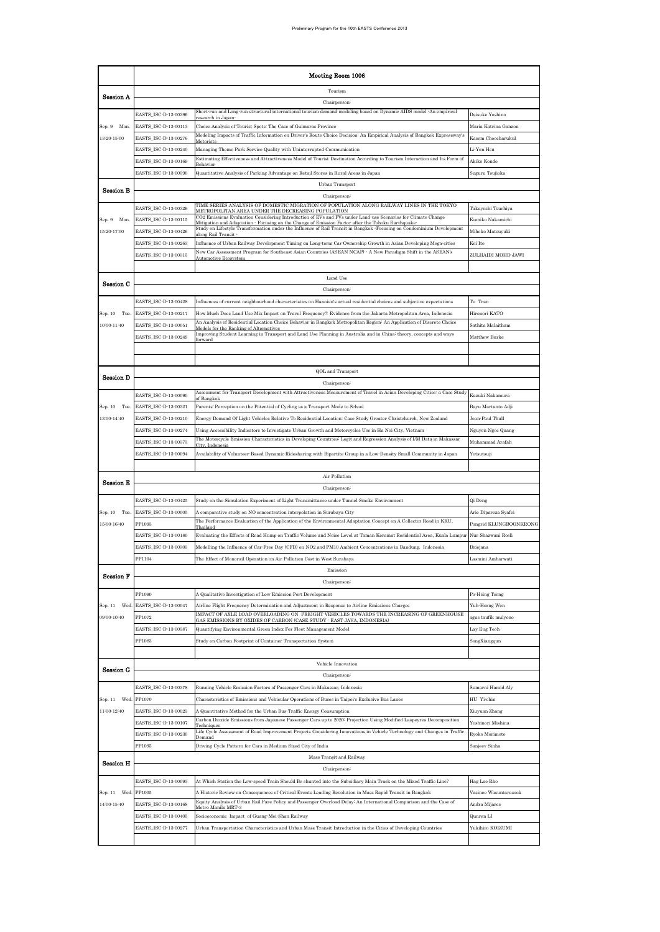|                  | Meeting Room 1006                            |                                                                                                                                                                                                                                           |                                      |  |  |  |
|------------------|----------------------------------------------|-------------------------------------------------------------------------------------------------------------------------------------------------------------------------------------------------------------------------------------------|--------------------------------------|--|--|--|
| Session A        |                                              | Tourism                                                                                                                                                                                                                                   |                                      |  |  |  |
|                  |                                              | Chairperson:                                                                                                                                                                                                                              |                                      |  |  |  |
|                  | EASTS_ISC-D-13-00396                         | Short run and Long run structural international tourism demand modeling based on Dynamic AIDS model -An empirical<br>esearch in Janan                                                                                                     | Daisuke Yoshino                      |  |  |  |
| Sep. 9 Mon.      | EASTS_ISC-D-13-00113                         | Choice Analysis of Tourist Spots: The Case of Guimaras Province<br>Modeling Impacts of Traffic Information on Driver's Route Choice Decision: An Empirical Analysis of Bangkok Expressway's                                               | Maria Katrina Ganzon                 |  |  |  |
| 13:20-15:00      | EASTS_ISC-D-13-00276                         | Motorists                                                                                                                                                                                                                                 | Kasem Choocharukul                   |  |  |  |
|                  | EASTS_ISC-D-13-00240                         | Managing Theme Park Service Quality with Uninterrupted Communication<br>Estimating Effectiveness and Attractiveness Model of Tourist Destination According to Tourism Interaction and Its Form of                                         | Li-Yen Hsu                           |  |  |  |
|                  | EASTS_ISC-D-13-00169<br>EASTS_ISC-D-13-00390 | 3ehavio:<br>Quantitative Analysis of Parking Advantage on Retail Stores in Rural Areas in Japan                                                                                                                                           | Akiko Kondo<br>Suguru Tsujioka       |  |  |  |
|                  |                                              | Urban Transport                                                                                                                                                                                                                           |                                      |  |  |  |
| <b>Session B</b> |                                              | Chairperson <sup>:</sup>                                                                                                                                                                                                                  |                                      |  |  |  |
|                  | EASTS_ISC-D-13-00329                         | TIME SERIES ANALYSIS OF DOMESTIC MIGRATION OF POPULATION ALONG RAILWAY LINES IN THE TOKYO<br>METROPOLITAN AREA UNDER THE DECREASING POPULATION                                                                                            | Takayoshi Tsuchiya                   |  |  |  |
| Sep. 9 Mon.      | EASTS_ISC-D-13-00115                         | CO2 Emissions Evaluation Considering Introduction of EVs and PVs under Land use Scenarios for Climate Change<br>Mitigation and Adaptation - Focusing on the Change of Emission Factor after the Tohoku Earthquake                         | Kumiko Nakamichi                     |  |  |  |
| 15:20-17:00      | EASTS_ISC-D-13-00426                         | Study on Lifestyle Transformation under the Influence of Rail Transit in Bangkok -Focusing on Condominium Development<br>along Rail Transit                                                                                               | Mihoko Matsuyuki                     |  |  |  |
|                  | EASTS_ISC-D-13-00263                         | Influence of Urban Railway Development Timing on Long-term Car Ownership Growth in Asian Developing Mega cities                                                                                                                           | Kei Ito                              |  |  |  |
|                  | EASTS_ISC-D-13-00315                         | New Car Assessment Program for Southeast Asian Countries (ASEAN NCAP) - A New Paradigm Shift in the ASEAN's<br>Automotive Ecosystem                                                                                                       | ZULHAIDI MOHD JAWI                   |  |  |  |
|                  |                                              |                                                                                                                                                                                                                                           |                                      |  |  |  |
| Session C        |                                              | Land Use                                                                                                                                                                                                                                  |                                      |  |  |  |
|                  |                                              | Chairperson <sup>:</sup>                                                                                                                                                                                                                  |                                      |  |  |  |
| Sep. 10 Tue.     | EASTS_ISC-D-13-00428<br>EASTS_ISC-D-13-00217 | Influences of current neighbourhood characteristics on Hanoian's actual residential choices and subjective expectations<br>How Much Does Land Use Mix Impact on Travel Frequency?: Evidence from the Jakarta Metropolitan Area, Indonesia | Tu Tran<br>Hironori KATO             |  |  |  |
| 10:00-11:40      | EASTS_ISC-D-13-00051                         | An Analysis of Residential Location Choice Behavior in Bangkok Metropolitan Region: An Application of Discrete Choice                                                                                                                     | Sathita Malaitham                    |  |  |  |
|                  | EASTS_ISC-D-13-00249                         | Models for the Ranking of Alternatives<br>Improving Student Learning in Transport and Land Use Planning in Australia and in China: theory, concepts and ways                                                                              | Matthew Burke                        |  |  |  |
|                  |                                              | forward                                                                                                                                                                                                                                   |                                      |  |  |  |
|                  |                                              |                                                                                                                                                                                                                                           |                                      |  |  |  |
| <b>Session D</b> |                                              | QOL and Transport                                                                                                                                                                                                                         |                                      |  |  |  |
|                  |                                              | Chairperson-                                                                                                                                                                                                                              |                                      |  |  |  |
|                  | EASTS_ISC-D-13-00090                         | Assessment for Transport Development with Attractiveness Measurement of Travel in Asian Developing Cities: a Case Study<br>of Bangkol                                                                                                     | Kazuki Nakamura                      |  |  |  |
| Sep. 10 Tue      | EASTS_ISC-D-13-00321                         | Parents' Perception on the Potential of Cycling as a Transport Mode to School                                                                                                                                                             | Bayu Martanto Adji                   |  |  |  |
| 13:00-14:40      | EASTS_ISC-D-13-00210                         | Energy Demand Of Light Vehicles Relative To Residential Location: Case Study Greater Christchurch, New Zealand                                                                                                                            | Jean-Paul Thull                      |  |  |  |
|                  | EASTS_ISC-D-13-00274<br>EASTS_ISC-D-13-00373 | Using Accessibility Indicators to Investigate Urban Growth and Motorcycles Use in Ha Noi City, Vietnam<br>The Motorcycle Emission Characteristics in Developing Countries: Logit and Regression Analysis of I/M Data in Makassar          | Nguyen Ngoc Quang<br>Muhammad Arafah |  |  |  |
|                  | EASTS_ISC-D-13-00094                         | City, Indonesia<br>Availability of Volunteer Based Dynamic Ridesharing with Bipartite Group in a Low Density Small Community in Japan                                                                                                     | Yotsutsuji                           |  |  |  |
|                  |                                              |                                                                                                                                                                                                                                           |                                      |  |  |  |
|                  |                                              | Air Pollution                                                                                                                                                                                                                             |                                      |  |  |  |
| <b>Session E</b> |                                              |                                                                                                                                                                                                                                           |                                      |  |  |  |
|                  | EASTS_ISC-D-13-00425                         | Study on the Simulation Experiment of Light Transmittance under Tunnel Smoke Environment                                                                                                                                                  | Qi Deng                              |  |  |  |
| Sep. 10 Tue.     | EASTS_ISC-D-13-00005                         | A comparative study on NO concentration interpolation in Surabaya City<br>The Performance Evaluation of the Application of the Environmental Adaptation Concept on A Collector Road in KKU,                                               | Arie Dipareza Syafei                 |  |  |  |
| 15:00-16:40      | PP1093                                       | Thailand                                                                                                                                                                                                                                  | Pongrid KLUNGBOONKRONC               |  |  |  |
|                  | EASTS_ISC-D-13-00180                         | Evaluating the Effects of Road Hump on Traffic Volume and Noise Level at Taman Keramat Residential Area, Kuala Lumpur                                                                                                                     | Nur Shazwani Rosli                   |  |  |  |
|                  | EASTS_ISC-D-13-00303<br>PP1104               | Modelling the Influence of Car Free Day (CFD) on NO2 and PM10 Ambient Concentrations in Bandung, Indonesia<br>The Effect of Monorail Operation on Air Pollution Cost in West Surabaya                                                     | Driejana                             |  |  |  |
|                  |                                              |                                                                                                                                                                                                                                           |                                      |  |  |  |
| <b>Session F</b> |                                              | Emission                                                                                                                                                                                                                                  | Lasmını Ambarwatı                    |  |  |  |
|                  |                                              | Chairperson                                                                                                                                                                                                                               |                                      |  |  |  |
|                  | PP1090                                       | A Qualitative Investigation of Low Emission Port Development                                                                                                                                                                              | Po-Hsing Tseng                       |  |  |  |
| Sep. 11 Wed.     | EASTS_ISC-D-13-00047                         | Airline Flight Frequency Determination and Adjustment in Response to Airline Emissions Charges                                                                                                                                            | Yuh-Horng Wen                        |  |  |  |
| 09:00-10:40      | PP1072                                       | IMPACT OF AXLE LOAD OVERLOADING ON FREIGHT VEHICLES TOWARDS THE INCREASING OF GREENHOUSE<br>GAS EMISSIONS BY OXIDES OF CARBON (CASE STUDY : EAST JAVA, INDONESIA                                                                          | agus taufik mulyono                  |  |  |  |
|                  | EASTS ISC-D-13-00387                         | Quantifying Environmental Green Index For Fleet Management Model                                                                                                                                                                          | Lay Eng Teoh                         |  |  |  |
|                  | PP1083                                       | Study on Carbon Footprint of Container Transportation System                                                                                                                                                                              | SongXiangqun                         |  |  |  |
|                  |                                              |                                                                                                                                                                                                                                           |                                      |  |  |  |
| Session G        |                                              | Vehicle Innovation                                                                                                                                                                                                                        |                                      |  |  |  |
|                  |                                              | Chairperson                                                                                                                                                                                                                               |                                      |  |  |  |
|                  | EASTS_ISC-D-13-00378                         | Running Vehicle Emission Factors of Passenger Cars in Makassar, Indonesia                                                                                                                                                                 | Sumarni Hamid Aly                    |  |  |  |
| Sep. 11<br>Wed.  | PP1070                                       | Characteristics of Emissions and Vehicular Operations of Buses in Taipei's Exclusive Bus Lanes                                                                                                                                            | HU Yi-chin                           |  |  |  |
| 11:00-12:40      | EASTS_ISC-D-13-00023<br>EASTS_ISC-D-13-00107 | A Quantitative Method for the Urban Bus Traffic Energy Consumption<br>Carbon Dioxide Emissions from Japanese Passenger Cars up to 2020: Projection Using Modified Laspeyres Decomposition                                                 | Xiuyuan Zhang<br>Yoshinori Mishina   |  |  |  |
|                  | EASTS_ISC-D-13-00230                         | Fechniques<br>Life Cycle Assessment of Road Improvement Projects Considering Innovations in Vehicle Technology and Changes in Traffic                                                                                                     | Ryoko Morimoto                       |  |  |  |
|                  | PP1095                                       | Demand<br>Driving Cycle Pattern for Cars in Medium Sized City of India                                                                                                                                                                    | Sanjeev Sinha                        |  |  |  |
|                  |                                              | Mass Transit and Railway                                                                                                                                                                                                                  |                                      |  |  |  |
| <b>Session H</b> |                                              | Chairperson:                                                                                                                                                                                                                              |                                      |  |  |  |
|                  | EASTS_ISC-D-13-00093                         | At Which Station the Low speed Train Should Be shunted into the Subsidiary Main Track on the Mixed Traffic Line?                                                                                                                          | Hag Lae Rho                          |  |  |  |
| Sep. 11<br>Wed.  | PP1005                                       | A Historic Review on Consequences of Critical Events Leading Revolution in Mass Rapid Transit in Bangkok                                                                                                                                  | Vasinee Wasuntarasook                |  |  |  |
| 14:00-15:40      | EASTS_ISC-D-13-00168                         | Equity Analysis of Urban Rail Fare Policy and Passenger Overload Delay: An International Comparison and the Case of<br>Metro Manila MRT-3                                                                                                 | Andra Mijares                        |  |  |  |
|                  | EASTS_ISC-D-13-00405<br>EASTS_ISC-D-13-00277 | Socioeconomic Impact of Guang-Mei-Shan Railway<br>Urban Transportation Characteristics and Urban Mass Transit Introduction in the Cities of Developing Countries                                                                          | Qunren LI<br>Yukihiro KOIZUMI        |  |  |  |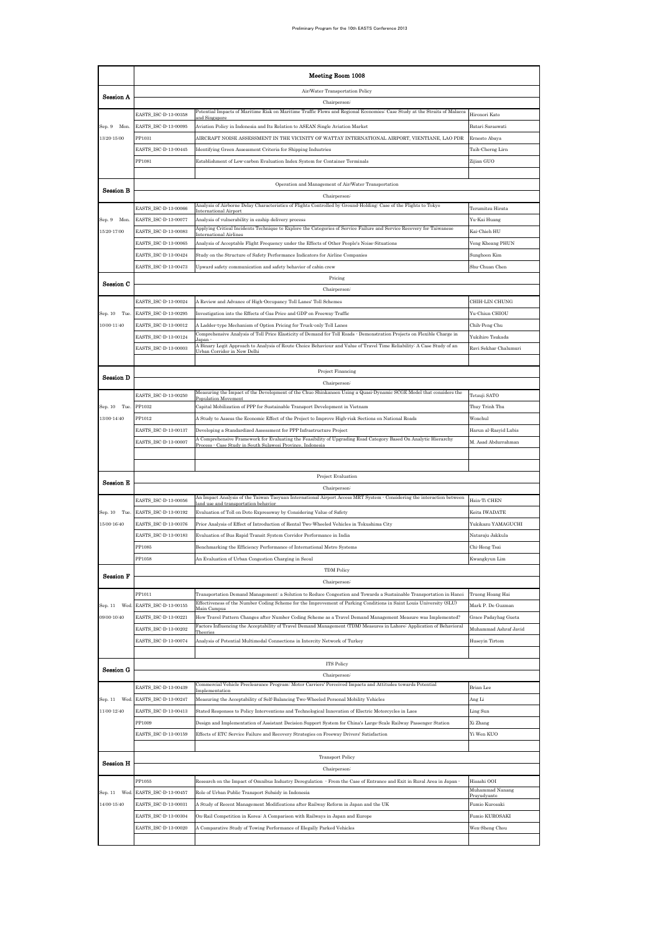|                  | Meeting Room 1008                            |                                                                                                                                                                                                                                            |                                |  |  |  |
|------------------|----------------------------------------------|--------------------------------------------------------------------------------------------------------------------------------------------------------------------------------------------------------------------------------------------|--------------------------------|--|--|--|
|                  |                                              | Air/Water Transportation Policy                                                                                                                                                                                                            |                                |  |  |  |
| Session A        |                                              | Chairperson                                                                                                                                                                                                                                |                                |  |  |  |
|                  | EASTS_ISC-D-13-00358                         | Potential Impacts of Maritime Risk on Maritime Traffic Flows and Regional Economies: Case Study at the Straits of Malacca                                                                                                                  | Hironori Kato                  |  |  |  |
| Sep. 9<br>Mon.   | EASTS_ISC-D-13-00095                         | Aviation Policy in Indonesia and Its Relation to ASEAN Single Aviation Market                                                                                                                                                              | Batari Saraswati               |  |  |  |
| 13:20-15:00      | PP1031                                       | AIRCRAFT NOISE ASSESSMENT IN THE VICINITY OF WATTAY INTERNATIONAL AIRPORT, VIENTIANE, LAO PDR                                                                                                                                              | Ernesto Abaya                  |  |  |  |
|                  | EASTS_ISC-D-13-00445                         | Identifying Green Assessment Criteria for Shipping Industries                                                                                                                                                                              | Taih-Cherng Lirn               |  |  |  |
|                  | PP1081                                       | Establishment of Low-carbon Evaluation Index System for Container Terminals                                                                                                                                                                | Zijian GUO                     |  |  |  |
|                  |                                              |                                                                                                                                                                                                                                            |                                |  |  |  |
| Session B        |                                              | Operation and Management of Air/Water Transportation<br>Chairperson <sup>:</sup>                                                                                                                                                           |                                |  |  |  |
|                  | EASTS_ISC-D-13-00066                         | Analysis of Airborne Delay Characteristics of Flights Controlled by Ground-Holding: Case of the Flights to Tokyo                                                                                                                           | Terumitsu Hirata               |  |  |  |
| Sep. 9 Mon.      | EASTS_ISC-D-13-00077                         | nternational Airpor<br>Analysis of vulnerability in ezship delivery process                                                                                                                                                                | Yu-Kai Huang                   |  |  |  |
| 15:20-17:00      | EASTS_ISC-D-13-00083                         | Applying Critical Incidents Technique to Explore the Categories of Service Failure and Service Recovery for Taiwanese                                                                                                                      | Kai-Chieh HU                   |  |  |  |
|                  | EASTS_ISC-D-13-00065                         | Analysis of Acceptable Flight Frequency under the Effects of Other People's Noise Situations                                                                                                                                               | Veng Kheang PHUN               |  |  |  |
|                  | EASTS_ISC-D-13-00424                         | Study on the Structure of Safety Performance Indicators for Airline Companies                                                                                                                                                              | Sunghoon Kim                   |  |  |  |
|                  | EASTS_ISC-D-13-00473                         | Upward safety communication and safety behavior of cabin crew                                                                                                                                                                              | Shu-Chuan Chen                 |  |  |  |
|                  |                                              | Pricing                                                                                                                                                                                                                                    |                                |  |  |  |
| Session C        |                                              | Chairperson:                                                                                                                                                                                                                               |                                |  |  |  |
|                  | EASTS_ISC-D-13-00024                         | A Review and Advance of High-Occupancy Toll Lanes' Toll Schemes                                                                                                                                                                            | CHIH-LIN CHUNG                 |  |  |  |
| Sep. 10 Tue.     | EASTS_ISC-D-13-00295                         | Investigation into the Effects of Gas Price and GDP on Freeway Traffic                                                                                                                                                                     | Yu-Chiun CHIOU                 |  |  |  |
| 10:00-11:40      | EASTS_ISC-D-13-00012                         | A Ladder type Mechanism of Option Pricing for Truck only Toll Lanes                                                                                                                                                                        | Chih-Peng Chu                  |  |  |  |
|                  | EASTS_ISC-D-13-00124                         | Comprehensive Analysis of Toll Price Elasticity of Demand for Toll Roads - Demonstration Projects on Flexible Charge in                                                                                                                    | Yukihiro Tsukada               |  |  |  |
|                  | EASTS_ISC-D-13-00003                         | A Binary Logit Approach to Analysis of Route Choice Behaviour and Value of Travel Time Reliability: A Case Study of an<br>Urban Corridor in New Delhi                                                                                      | Ravi Sekhar Chalumuri          |  |  |  |
|                  |                                              |                                                                                                                                                                                                                                            |                                |  |  |  |
| <b>Session D</b> |                                              | Project Financing                                                                                                                                                                                                                          |                                |  |  |  |
|                  |                                              | Chairperson:<br>Measuring the Impact of the Development of the Chuo Shinkansen Using a Quasi-Dynamic SCGE Model that considers the                                                                                                         |                                |  |  |  |
|                  | EASTS_ISC-D-13-00250                         | Population Movemen                                                                                                                                                                                                                         | Tetsuji SATO                   |  |  |  |
| Sep. 10 Tue.     | PP1032                                       | Capital Mobilization of PPP for Sustainable Transport Development in Vietnam                                                                                                                                                               | Thuy Trinh Thu                 |  |  |  |
| 13:00-14:40      | PP1012                                       | A Study to Assess the Economic Effect of the Project to Improve High-risk Sections on National Roads                                                                                                                                       | Wonchul                        |  |  |  |
|                  | EASTS_ISC-D-13-00137<br>EASTS_ISC-D-13-00007 | Developing a Standardized Assessment for PPP Infrastructure Project<br>A Comprehensive Framework for Evaluating the Feasibility of Upgrading Road Category Based On Analytic Hierarchy                                                     | Harun al-Rasyid Lubis          |  |  |  |
|                  |                                              | Process · Case Study in South Sulawesi Province, Indonesia                                                                                                                                                                                 | M. Asad Abdurrahman            |  |  |  |
|                  |                                              |                                                                                                                                                                                                                                            |                                |  |  |  |
|                  |                                              | Project Evaluation                                                                                                                                                                                                                         |                                |  |  |  |
| Session E        |                                              | Chairperson <sup>:</sup>                                                                                                                                                                                                                   |                                |  |  |  |
|                  | EASTS_ISC-D-13-00056                         | An Impact Analysis of the Taiwan Taoyuan International Airport Access MRT System - Considering the interaction between<br>land use and transportation behavior                                                                             | Hsin-Ti CHEN                   |  |  |  |
| Sep. 10 Tue.     | EASTS_ISC-D-13-00192                         | Evaluation of Toll on Doto Expressway by Considering Value of Safety                                                                                                                                                                       | Keita IWADATE                  |  |  |  |
| 15:00-16:40      | EASTS_ISC-D-13-00376                         | Prior Analysis of Effect of Introduction of Rental Two Wheeled Vehicles in Tokushima City                                                                                                                                                  | Yukikazu YAMAGUCHI             |  |  |  |
|                  | EASTS_ISC-D-13-00183                         | Evaluation of Bus Rapid Transit System Corridor Performance in India                                                                                                                                                                       | Nataraju Jakkula               |  |  |  |
|                  | PP1085                                       | Benchmarking the Efficiency Performance of International Metro Systems                                                                                                                                                                     | Chi-Hong Tsai                  |  |  |  |
|                  | PP1058                                       | An Evaluation of Urban Congestion Charging in Seoul                                                                                                                                                                                        | Awangkyun Lim                  |  |  |  |
| <b>Session F</b> |                                              | TDM Policy                                                                                                                                                                                                                                 |                                |  |  |  |
|                  |                                              | Chairperson:                                                                                                                                                                                                                               |                                |  |  |  |
|                  | PP1011                                       | Transportation Demand Management: a Solution to Reduce Congestion and Towards a Sustainable Transportation in Hanoi<br>Effectiveness of the Number Coding Scheme for the Improvement of Parking Conditions in Saint Louis University (SLU) | Truong Hoang Hai               |  |  |  |
| Sep. 11<br>Wed   | EASTS_ISC-D-13-00155                         | Main Campus                                                                                                                                                                                                                                | Mark P. De Guzman              |  |  |  |
| 09:00-10:40      | EASTS_ISC-D-13-00221                         | How Travel Pattern Changes after Number Coding Scheme as a Travel Demand Management Measure was Implemented?<br>Factors Influencing the Acceptability of Travel Demand Management (TDM) Measures in Lahore: Application of Behavioral      | Grace Padayhag Gueta           |  |  |  |
|                  | EASTS ISC-D-13-00202                         |                                                                                                                                                                                                                                            | Muhammad Ashraf Javid          |  |  |  |
|                  | EASTS_ISC-D-13-00074                         | Analysis of Potential Multimodal Connections in Intercity Network of Turkey                                                                                                                                                                | Huseyin Tirtom                 |  |  |  |
|                  |                                              | ITS Policy                                                                                                                                                                                                                                 |                                |  |  |  |
| Session G        |                                              | Chairperson:                                                                                                                                                                                                                               |                                |  |  |  |
|                  | EASTS_ISC-D-13-00439                         | Commercial Vehicle Preclearance Program: Motor Carriers' Perceived Impacts and Attitudes towards Potential                                                                                                                                 | Brian Lee                      |  |  |  |
| Sep. 11 Wed      | EASTS_ISC-D-13-00247                         | Implementatio<br>Measuring the Acceptability of Self-Balancing Two-Wheeled Personal Mobility Vehicles                                                                                                                                      | Ang Li                         |  |  |  |
| 11:00-12:40      | EASTS_ISC-D-13-00413                         | Stated Responses to Policy Interventions and Technological Innovation of Electric Motorcycles in Laos                                                                                                                                      | Ling Sun                       |  |  |  |
|                  | PP1009                                       | Design and Implementation of Assistant Decision Support System for China's Large-Scale Railway Passenger Station                                                                                                                           | Xi Zhang                       |  |  |  |
|                  | EASTS_ISC-D-13-00159                         | Effects of ETC Service Failure and Recovery Strategies on Freeway Drivers' Satisfaction                                                                                                                                                    | Yi Wen KUO                     |  |  |  |
|                  |                                              |                                                                                                                                                                                                                                            |                                |  |  |  |
|                  |                                              | <b>Transport Policy</b>                                                                                                                                                                                                                    |                                |  |  |  |
| <b>Session H</b> |                                              | Chairperson <sup>:</sup>                                                                                                                                                                                                                   |                                |  |  |  |
|                  | PP1055                                       | Research on the Impact of Omnibus Industry Deregulation - From the Case of Entrance and Exit in Rural Area in Japan                                                                                                                        | Hisashi OOI                    |  |  |  |
| Sep. 11 Wed      | EASTS_ISC-D-13-00457                         | Role of Urban Public Transport Subsidy in Indonesia                                                                                                                                                                                        | Muhammad Nanang<br>Prayudyanto |  |  |  |
| 14:00-15:40      | EASTS_ISC-D-13-00031                         | A Study of Recent Management Modifications after Railway Reform in Japan and the UK                                                                                                                                                        | Fumio Kurosaki                 |  |  |  |
|                  | EASTS_ISC-D-13-00304                         | On-Rail Competition in Korea: A Comparison with Railways in Japan and Europe                                                                                                                                                               | Fumio KUROSAKI                 |  |  |  |
|                  | EASTS_ISC-D-13-00020                         | A Comparative Study of Towing Performance of Illegally Parked Vehicles                                                                                                                                                                     | Wen-Sheng Chou                 |  |  |  |
|                  |                                              |                                                                                                                                                                                                                                            |                                |  |  |  |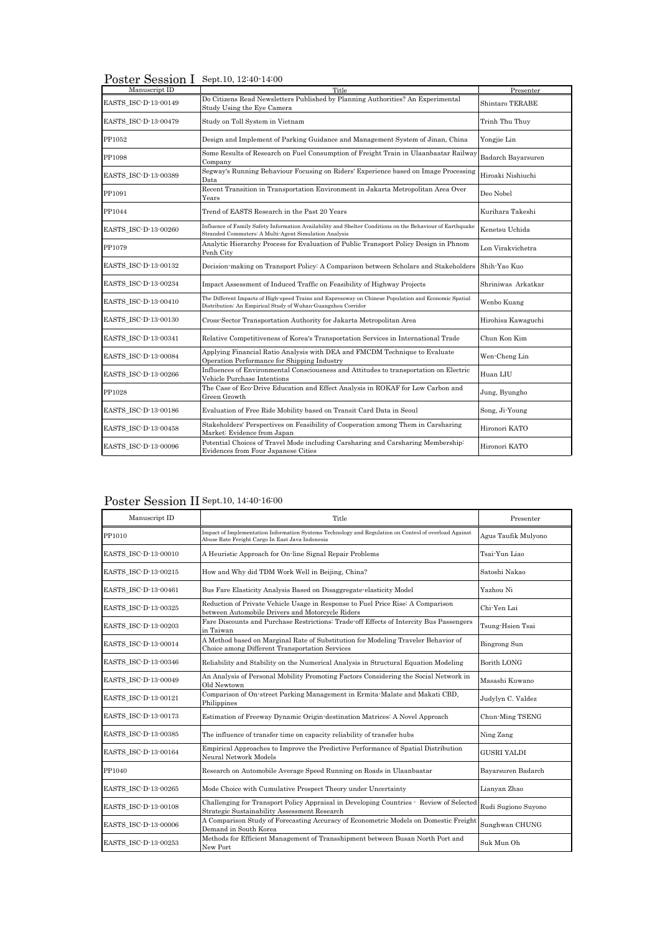Poster Session I Sept.10, 12:40-14:00

| Manuscript ID        | Title                                                                                                                                                                | Presenter              |
|----------------------|----------------------------------------------------------------------------------------------------------------------------------------------------------------------|------------------------|
| EASTS ISC-D-13-00149 | Do Citizens Read Newsletters Published by Planning Authorities? An Experimental<br>Study Using the Eye Camera                                                        | <b>Shintaro TERABE</b> |
| EASTS ISC-D-13-00479 | Study on Toll System in Vietnam                                                                                                                                      | Trinh Thu Thuy         |
| PP1052               | Design and Implement of Parking Guidance and Management System of Jinan, China                                                                                       | Yongjie Lin            |
| PP1098               | Some Results of Research on Fuel Consumption of Freight Train in Ulaanbaatar Railway<br>Company                                                                      | Badarch Bayarsuren     |
| EASTS ISC-D-13-00389 | Segway's Running Behaviour Focusing on Riders' Experience based on Image Processing<br>Data                                                                          | Hiroaki Nishiuchi      |
| PP1091               | Recent Transition in Transportation Environment in Jakarta Metropolitan Area Over<br>Years                                                                           | Deo Nobel              |
| PP1044               | Trend of EASTS Research in the Past 20 Years                                                                                                                         | Kurihara Takeshi       |
| EASTS ISC-D-13-00260 | Influence of Family Safety Information Availability and Shelter Conditions on the Behaviour of Earthquake<br>Stranded Commuters' A Multi-Agent Simulation Analysis   | Kenetsu Uchida         |
| PP1079               | Analytic Hierarchy Process for Evaluation of Public Transport Policy Design in Phnom<br>Penh City                                                                    | Lon Virakvichetra      |
| EASTS_ISC-D-13-00132 | Decision-making on Transport Policy: A Comparison between Scholars and Stakeholders                                                                                  | Shih-Yao Kuo           |
| EASTS_ISC-D-13-00234 | Impact Assessment of Induced Traffic on Feasibility of Highway Projects                                                                                              | Shriniwas Arkatkar     |
| EASTS_ISC-D-13-00410 | The Different Impacts of High-speed Trains and Expressway on Chinese Population and Economic Spatial<br>Distribution: An Empirical Study of Wuhan-Guangzhou Corridor | Wenbo Kuang            |
| EASTS ISC-D-13-00130 | Cross-Sector Transportation Authority for Jakarta Metropolitan Area                                                                                                  | Hirohisa Kawaguchi     |
| EASTS ISC-D-13-00341 | Relative Competitiveness of Korea's Transportation Services in International Trade                                                                                   | Chun Kon Kim           |
| EASTS ISC-D-13-00084 | Applying Financial Ratio Analysis with DEA and FMCDM Technique to Evaluate<br>Operation Performance for Shipping Industry                                            | Wen-Cheng Lin          |
| EASTS ISC-D-13-00266 | Influences of Environmental Consciousness and Attitudes to transportation on Electric<br>Vehicle Purchase Intentions                                                 | Huan LIU               |
| PP1028               | The Case of Eco-Drive Education and Effect Analysis in ROKAF for Low Carbon and<br>Green Growth                                                                      | Jung, Byungho          |
| EASTS ISC-D-13-00186 | Evaluation of Free Ride Mobility based on Transit Card Data in Seoul                                                                                                 | Song, Ji-Young         |
| EASTS_ISC-D-13-00458 | Stakeholders' Perspectives on Feasibility of Cooperation among Them in Carsharing<br>Market: Evidence from Japan                                                     | Hironori KATO          |
| EASTS ISC-D-13-00096 | Potential Choices of Travel Mode including Carsharing and Carsharing Membership:<br>Evidences from Four Japanese Cities                                              | Hironori KATO          |

## Poster Session II Sept.10, 14:40-16:00

| Manuscript ID        | Title                                                                                                                                                    | Presenter           |
|----------------------|----------------------------------------------------------------------------------------------------------------------------------------------------------|---------------------|
| PP1010               | Impact of Implementation Information Systems Technology and Regulation on Control of overload Against<br>Abuse Rate Freight Cargo In East Java Indonesia | Agus Taufik Mulyono |
| EASTS ISC-D-13-00010 | A Heuristic Approach for On-line Signal Repair Problems                                                                                                  | Tsai-Yun Liao       |
| EASTS ISC-D-13-00215 | How and Why did TDM Work Well in Beijing, China?                                                                                                         | Satoshi Nakao       |
| EASTS ISC-D-13-00461 | Bus Fare Elasticity Analysis Based on Disaggregate-elasticity Model                                                                                      | Yazhou Ni           |
| EASTS ISC-D-13-00325 | Reduction of Private Vehicle Usage in Response to Fuel Price Rise: A Comparison<br>between Automobile Drivers and Motorcycle Riders                      | Chi-Yen Lai         |
| EASTS_ISC-D-13-00203 | Fare Discounts and Purchase Restrictions: Trade-off Effects of Intercity Bus Passengers<br>in Taiwan                                                     | Tsung-Hsien Tsai    |
| EASTS_ISC-D-13-00014 | A Method based on Marginal Rate of Substitution for Modeling Traveler Behavior of<br>Choice among Different Transportation Services                      | <b>Bingrong Sun</b> |
| EASTS ISC-D-13-00346 | Reliability and Stability on the Numerical Analysis in Structural Equation Modeling                                                                      | <b>Borith LONG</b>  |
| EASTS ISC-D-13-00049 | An Analysis of Personal Mobility Promoting Factors Considering the Social Network in<br>Old Newtown                                                      | Masashi Kuwano      |
| EASTS_ISC-D-13-00121 | Comparison of On-street Parking Management in Ermita-Malate and Makati CBD,<br>Philippines                                                               | Judylyn C. Valdez   |
| EASTS_ISC-D-13-00173 | Estimation of Freeway Dynamic Origin-destination Matrices: A Novel Approach                                                                              | Chun-Ming TSENG     |
| EASTS_ISC-D-13-00385 | The influence of transfer time on capacity reliability of transfer hubs                                                                                  | Ning Zang           |
| EASTS ISC-D-13-00164 | Empirical Approaches to Improve the Predictive Performance of Spatial Distribution<br>Neural Network Models                                              | <b>GUSRI YALDI</b>  |
| PP1040               | Research on Automobile Average Speed Running on Roads in Ulaanbaatar                                                                                     | Bayarsuren Badarch  |
| EASTS ISC-D-13-00265 | Mode Choice with Cumulative Prospect Theory under Uncertainty                                                                                            | Lianyan Zhao        |
| EASTS ISC-D-13-00108 | Challenging for Transport Policy Appraisal in Developing Countries - Review of Selected<br>Strategic Sustainability Assessment Research                  | Rudi Sugiono Suyono |
| EASTS ISC-D-13-00006 | A Comparison Study of Forecasting Accuracy of Econometric Models on Domestic Freight<br>Demand in South Korea                                            | Sunghwan CHUNG      |
| EASTS ISC-D-13-00253 | Methods for Efficient Management of Transshipment between Busan North Port and<br>New Port                                                               | Suk Mun Oh          |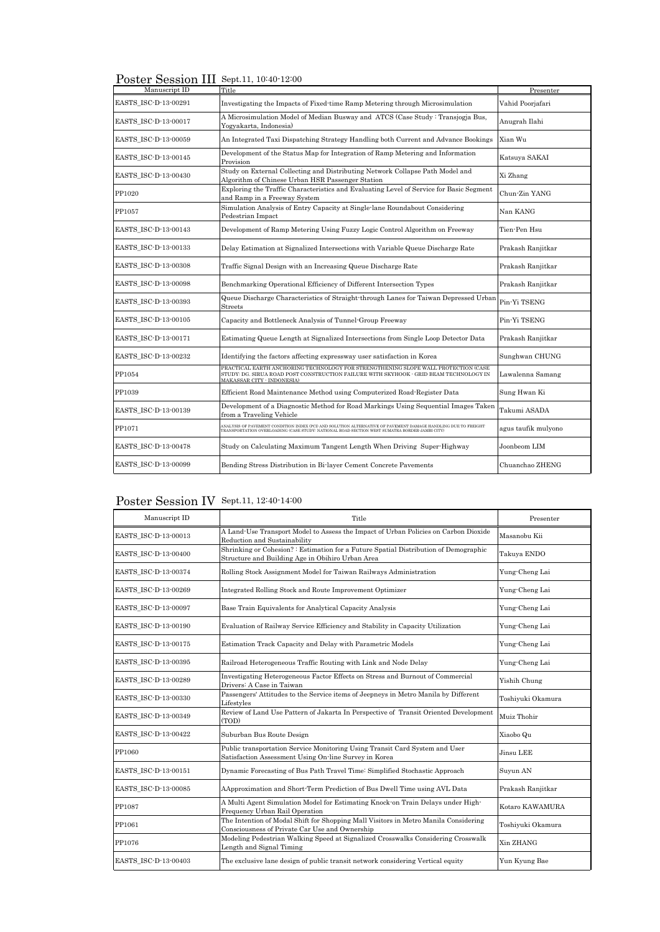Poster Session III Sept.11, 10:40-12:00

| Manuscript ID        | Title                                                                                                                                                                                                              | Presenter           |
|----------------------|--------------------------------------------------------------------------------------------------------------------------------------------------------------------------------------------------------------------|---------------------|
| EASTS ISC-D-13-00291 | Investigating the Impacts of Fixed-time Ramp Metering through Microsimulation                                                                                                                                      | Vahid Poorjafari    |
| EASTS ISC-D-13-00017 | A Microsimulation Model of Median Busway and ATCS (Case Study: Transjogja Bus,<br>Yogyakarta, Indonesia)                                                                                                           | Anugrah Ilahi       |
| EASTS ISC-D-13-00059 | An Integrated Taxi Dispatching Strategy Handling both Current and Advance Bookings                                                                                                                                 | Xian Wu             |
| EASTS ISC-D-13-00145 | Development of the Status Map for Integration of Ramp Metering and Information<br>Provision                                                                                                                        | Katsuya SAKAI       |
| EASTS_ISC-D-13-00430 | Study on External Collecting and Distributing Network Collapse Path Model and<br>Algorithm of Chinese Urban HSR Passenger Station                                                                                  | Xi Zhang            |
| PP1020               | Exploring the Traffic Characteristics and Evaluating Level of Service for Basic Segment<br>and Ramp in a Freeway System                                                                                            | Chun-Zin YANG       |
| PP1057               | Simulation Analysis of Entry Capacity at Single-lane Roundabout Considering<br>Pedestrian Impact                                                                                                                   | Nan KANG            |
| EASTS ISC-D-13-00143 | Development of Ramp Metering Using Fuzzy Logic Control Algorithm on Freeway                                                                                                                                        | Tien-Pen Hsu        |
| EASTS_ISC-D-13-00133 | Delay Estimation at Signalized Intersections with Variable Queue Discharge Rate                                                                                                                                    | Prakash Ranjitkar   |
| EASTS ISC-D-13-00308 | Traffic Signal Design with an Increasing Queue Discharge Rate                                                                                                                                                      | Prakash Ranjitkar   |
| EASTS ISC-D-13-00098 | Benchmarking Operational Efficiency of Different Intersection Types                                                                                                                                                | Prakash Ranjitkar   |
| EASTS ISC-D-13-00393 | Queue Discharge Characteristics of Straight-through Lanes for Taiwan Depressed Urban<br><b>Streets</b>                                                                                                             | Pin-Yi TSENG        |
| EASTS ISC-D-13-00105 | Capacity and Bottleneck Analysis of Tunnel-Group Freeway                                                                                                                                                           | Pin-Yi TSENG        |
| EASTS_ISC-D-13-00171 | Estimating Queue Length at Signalized Intersections from Single Loop Detector Data                                                                                                                                 | Prakash Ranjitkar   |
| EASTS ISC-D-13-00232 | Identifying the factors affecting expressway user satisfaction in Korea                                                                                                                                            | Sunghwan CHUNG      |
| PP1054               | PRACTICAL EARTH ANCHORING TECHNOLOGY FOR STRENGTHENING SLOPE WALL PROTECTION (CASE<br>STUDY: DG. SIRUA ROAD POST CONSTRUCTION FAILURE WITH SKYHOOK - GRID BEAM TECHNOLOGY IN<br><b>MAKASSAR CITY - INDONESIA</b> ) | Lawalenna Samang    |
| PP1039               | Efficient Road Maintenance Method using Computerized Road-Register Data                                                                                                                                            | Sung Hwan Ki        |
| EASTS_ISC-D-13-00139 | Development of a Diagnostic Method for Road Markings Using Sequential Images Taken<br>from a Traveling Vehicle                                                                                                     | Takumi ASADA        |
| PP1071               | ANALYSIS OF PAVEMENT CONDITION INDEX (PCI) AND SOLUTION ALTERNATIVE OF PAVEMENT DAMAGE HANDLING DUE TO FREIGHT<br>TRANSPORTATION OVERLOADING (CASE STIIDY: NATIONAL ROAD SECTION WEST SUMATRA BORDER-JAMBI CITY)   | agus taufik mulyono |
| EASTS ISC-D-13-00478 | Study on Calculating Maximum Tangent Length When Driving Super-Highway                                                                                                                                             | Joonbeom LIM        |
| EASTS ISC-D-13-00099 | Bending Stress Distribution in Bi-layer Cement Concrete Pavements                                                                                                                                                  | Chuanchao ZHENG     |

## Poster Session IV Sept.11, 12:40-14:00

| Manuscript ID        | Title                                                                                                                                   | Presenter         |
|----------------------|-----------------------------------------------------------------------------------------------------------------------------------------|-------------------|
| EASTS ISC-D-13-00013 | A Land-Use Transport Model to Assess the Impact of Urban Policies on Carbon Dioxide<br>Reduction and Sustainability                     | Masanobu Kii      |
| EASTS ISC-D-13-00400 | Shrinking or Cohesion?: Estimation for a Future Spatial Distribution of Demographic<br>Structure and Building Age in Obihiro Urban Area | Takuya ENDO       |
| EASTS ISC-D-13-00374 | Rolling Stock Assignment Model for Taiwan Railways Administration                                                                       | Yung-Cheng Lai    |
| EASTS ISC-D-13-00269 | Integrated Rolling Stock and Route Improvement Optimizer                                                                                | Yung-Cheng Lai    |
| EASTS ISC-D-13-00097 | Base Train Equivalents for Analytical Capacity Analysis                                                                                 | Yung-Cheng Lai    |
| EASTS ISC-D-13-00190 | Evaluation of Railway Service Efficiency and Stability in Capacity Utilization                                                          | Yung-Cheng Lai    |
| EASTS ISC-D-13-00175 | Estimation Track Capacity and Delay with Parametric Models                                                                              | Yung-Cheng Lai    |
| EASTS ISC-D-13-00395 | Railroad Heterogeneous Traffic Routing with Link and Node Delay                                                                         | Yung-Cheng Lai    |
| EASTS_ISC-D-13-00289 | Investigating Heterogeneous Factor Effects on Stress and Burnout of Commercial<br>Drivers: A Case in Taiwan                             | Yishih Chung      |
| EASTS ISC-D-13-00330 | Passengers' Attitudes to the Service items of Jeepneys in Metro Manila by Different<br>Lifestyles                                       | Toshiyuki Okamura |
| EASTS ISC-D-13-00349 | Review of Land Use Pattern of Jakarta In Perspective of Transit Oriented Development<br>(TOD)                                           | Muiz Thohir       |
| EASTS ISC-D-13-00422 | Suburban Bus Route Design                                                                                                               | Xiaobo Qu         |
| PP1060               | Public transportation Service Monitoring Using Transit Card System and User<br>Satisfaction Assessment Using On-line Survey in Korea    | Jinsu LEE         |
| EASTS ISC-D-13-00151 | Dynamic Forecasting of Bus Path Travel Time: Simplified Stochastic Approach                                                             | Suyun AN          |
| EASTS_ISC-D-13-00085 | AApproximation and Short-Term Prediction of Bus Dwell Time using AVL Data                                                               | Prakash Ranjitkar |
| PP1087               | A Multi Agent Simulation Model for Estimating Knock-on Train Delays under High-<br>Frequency Urban Rail Operation                       | Kotaro KAWAMURA   |
| PP1061               | The Intention of Modal Shift for Shopping Mall Visitors in Metro Manila Considering<br>Consciousness of Private Car Use and Ownership   | Toshiyuki Okamura |
| PP1076               | Modeling Pedestrian Walking Speed at Signalized Crosswalks Considering Crosswalk<br>Length and Signal Timing                            | Xin ZHANG         |
| EASTS ISC-D-13-00403 | The exclusive lane design of public transit network considering Vertical equity                                                         | Yun Kyung Bae     |